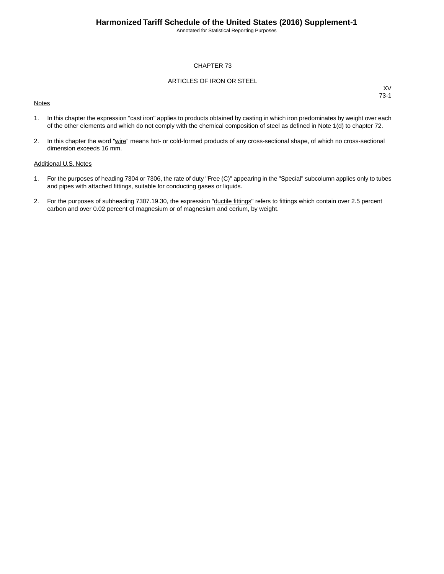Annotated for Statistical Reporting Purposes

#### CHAPTER 73

#### ARTICLES OF IRON OR STEEL

#### **Notes**

XV 73-1

- 1. In this chapter the expression "cast iron" applies to products obtained by casting in which iron predominates by weight over each of the other elements and which do not comply with the chemical composition of steel as defined in Note 1(d) to chapter 72.
- 2. In this chapter the word "wire" means hot- or cold-formed products of any cross-sectional shape, of which no cross-sectional dimension exceeds 16 mm.

#### Additional U.S. Notes

- 1. For the purposes of heading 7304 or 7306, the rate of duty "Free (C)" appearing in the "Special" subcolumn applies only to tubes and pipes with attached fittings, suitable for conducting gases or liquids.
- 2. For the purposes of subheading 7307.19.30, the expression "ductile fittings" refers to fittings which contain over 2.5 percent carbon and over 0.02 percent of magnesium or of magnesium and cerium, by weight.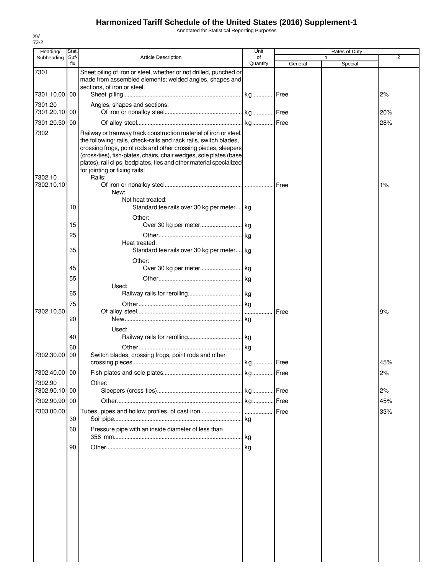Annotated for Statistical Reporting Purposes

| Heading/                 | Stat.       |                                                                                                                                                                                                                                                                                                                                                                                                | Unit           |         | Rates of Duty |                |
|--------------------------|-------------|------------------------------------------------------------------------------------------------------------------------------------------------------------------------------------------------------------------------------------------------------------------------------------------------------------------------------------------------------------------------------------------------|----------------|---------|---------------|----------------|
| Subheading               | Suf-<br>fix | <b>Article Description</b>                                                                                                                                                                                                                                                                                                                                                                     | of<br>Quantity | General | Special       | $\overline{2}$ |
| 7301                     |             | Sheet piling of iron or steel, whether or not drilled, punched or<br>made from assembled elements; welded angles, shapes and<br>sections, of iron or steel:                                                                                                                                                                                                                                    |                |         |               |                |
| 7301.10.00 00            |             |                                                                                                                                                                                                                                                                                                                                                                                                |                |         |               | 2%             |
| 7301.20<br>7301.20.10 00 |             | Angles, shapes and sections:                                                                                                                                                                                                                                                                                                                                                                   |                |         |               | 20%            |
| 7301.20.50 00            |             |                                                                                                                                                                                                                                                                                                                                                                                                |                |         |               | 28%            |
| 7302<br>7302.10          |             | Railway or tramway track construction material of iron or steel,<br>the following: rails, check-rails and rack rails, switch blades,<br>crossing frogs, point rods and other crossing pieces, sleepers<br>(cross-ties), fish-plates, chairs, chair wedges, sole plates (base<br>plates), rail clips, bedplates, ties and other material specialized<br>for jointing or fixing rails:<br>Rails: |                |         |               |                |
| 7302.10.10               |             |                                                                                                                                                                                                                                                                                                                                                                                                |                |         |               | 1%             |
|                          | 10          | New:<br>Not heat treated:<br>Standard tee rails over 30 kg per meter kg                                                                                                                                                                                                                                                                                                                        |                |         |               |                |
|                          | 15          | Other:                                                                                                                                                                                                                                                                                                                                                                                         |                |         |               |                |
|                          | 25          |                                                                                                                                                                                                                                                                                                                                                                                                |                |         |               |                |
|                          | 35          | Heat treated:<br>Standard tee rails over 30 kg per meter kg                                                                                                                                                                                                                                                                                                                                    |                |         |               |                |
|                          |             | Other:                                                                                                                                                                                                                                                                                                                                                                                         |                |         |               |                |
|                          | 45<br>55    |                                                                                                                                                                                                                                                                                                                                                                                                |                |         |               |                |
|                          | 65          | Used:                                                                                                                                                                                                                                                                                                                                                                                          |                |         |               |                |
|                          | 75          |                                                                                                                                                                                                                                                                                                                                                                                                |                |         |               |                |
| 7302.10.50               | 20          |                                                                                                                                                                                                                                                                                                                                                                                                |                | Free    |               | 9%             |
|                          | 40          | Used:                                                                                                                                                                                                                                                                                                                                                                                          |                |         |               |                |
|                          | 60          |                                                                                                                                                                                                                                                                                                                                                                                                |                |         |               |                |
| 7302.30.00               | 00          | Switch blades, crossing frogs, point rods and other                                                                                                                                                                                                                                                                                                                                            |                |         |               | 45%            |
| 7302.40.00 00            |             |                                                                                                                                                                                                                                                                                                                                                                                                |                |         |               | 2%             |
| 7302.90<br>7302.90.10 00 |             | Other:                                                                                                                                                                                                                                                                                                                                                                                         |                |         |               | 2%             |
| 7302.90.90 00            |             |                                                                                                                                                                                                                                                                                                                                                                                                |                |         |               | 45%            |
| 7303.00.00               |             |                                                                                                                                                                                                                                                                                                                                                                                                |                | Free    |               | 33%            |
|                          | 30<br>60    | Pressure pipe with an inside diameter of less than                                                                                                                                                                                                                                                                                                                                             |                |         |               |                |
|                          | 90          |                                                                                                                                                                                                                                                                                                                                                                                                |                |         |               |                |
|                          |             |                                                                                                                                                                                                                                                                                                                                                                                                |                |         |               |                |
|                          |             |                                                                                                                                                                                                                                                                                                                                                                                                |                |         |               |                |
|                          |             |                                                                                                                                                                                                                                                                                                                                                                                                |                |         |               |                |
|                          |             |                                                                                                                                                                                                                                                                                                                                                                                                |                |         |               |                |
|                          |             |                                                                                                                                                                                                                                                                                                                                                                                                |                |         |               |                |
|                          |             |                                                                                                                                                                                                                                                                                                                                                                                                |                |         |               |                |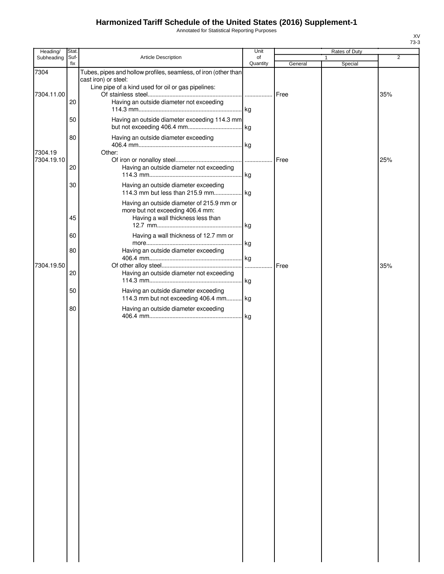Annotated for Statistical Reporting Purposes

| Heading/              | Stat.       |                                                                                                                                               | Unit           |              | Rates of Duty |     |
|-----------------------|-------------|-----------------------------------------------------------------------------------------------------------------------------------------------|----------------|--------------|---------------|-----|
| Subheading            | Suf-<br>fix | Article Description                                                                                                                           | of<br>Quantity | General      | 1<br>Special  | 2   |
| 7304                  |             | Tubes, pipes and hollow profiles, seamless, of iron (other than<br>cast iron) or steel:<br>Line pipe of a kind used for oil or gas pipelines: |                |              |               |     |
| 7304.11.00            | 20          | Having an outside diameter not exceeding                                                                                                      |                | Free         |               | 35% |
|                       | 50          | Having an outside diameter exceeding 114.3 mm                                                                                                 |                |              |               |     |
|                       | 80          | Having an outside diameter exceeding                                                                                                          |                |              |               |     |
| 7304.19<br>7304.19.10 | 20          | Other:<br>Having an outside diameter not exceeding                                                                                            |                | Free         |               | 25% |
|                       | 30          | Having an outside diameter exceeding                                                                                                          |                |              |               |     |
|                       | 45          | Having an outside diameter of 215.9 mm or<br>more but not exceeding 406.4 mm:<br>Having a wall thickness less than                            |                |              |               |     |
|                       | 60          | Having a wall thickness of 12.7 mm or                                                                                                         |                |              |               |     |
|                       | 80          | Having an outside diameter exceeding                                                                                                          |                |              |               |     |
| 7304.19.50            | 20          | Having an outside diameter not exceeding                                                                                                      |                | <b>IFree</b> |               | 35% |
|                       | 50          | Having an outside diameter exceeding<br>114.3 mm but not exceeding 406.4 mm kg                                                                |                |              |               |     |
|                       | 80          | Having an outside diameter exceeding                                                                                                          |                |              |               |     |
|                       |             |                                                                                                                                               |                |              |               |     |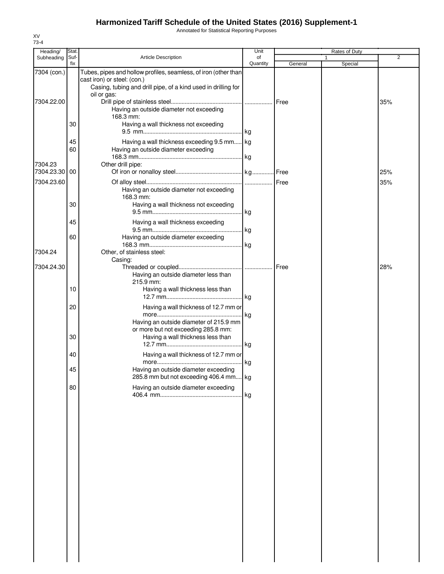Annotated for Statistical Reporting Purposes

| Heading/                  | Stat.          |                                                                                                                                                                                                                            | Unit           |         | Rates of Duty |     |
|---------------------------|----------------|----------------------------------------------------------------------------------------------------------------------------------------------------------------------------------------------------------------------------|----------------|---------|---------------|-----|
| Subheading                | Suf-<br>fix    | Article Description                                                                                                                                                                                                        | of<br>Quantity | General | 1<br>Special  | 2   |
| 7304 (con.)<br>7304.22.00 |                | Tubes, pipes and hollow profiles, seamless, of iron (other than<br>cast iron) or steel: (con.)<br>Casing, tubing and drill pipe, of a kind used in drilling for<br>oil or gas:<br>Having an outside diameter not exceeding |                |         |               | 35% |
|                           | 30<br>45<br>60 | 168.3 mm:<br>Having a wall thickness not exceeding<br>Having a wall thickness exceeding 9.5 mm kg                                                                                                                          |                |         |               |     |
| 7304.23<br>7304.23.30 00  |                | Having an outside diameter exceeding<br>Other drill pipe:                                                                                                                                                                  |                |         |               | 25% |
| 7304.23.60                | 30             | Having an outside diameter not exceeding<br>168.3 mm:<br>Having a wall thickness not exceeding                                                                                                                             |                |         |               | 35% |
|                           | 45<br>60       | Having a wall thickness exceeding<br>Having an outside diameter exceeding                                                                                                                                                  |                |         |               |     |
| 7304.24                   |                | Other, of stainless steel:<br>Casing:                                                                                                                                                                                      |                |         |               | 28% |
| 7304.24.30                |                | Having an outside diameter less than<br>215.9 mm:                                                                                                                                                                          |                |         |               |     |
|                           | 10<br>20       | Having a wall thickness less than<br>Having a wall thickness of 12.7 mm or                                                                                                                                                 |                |         |               |     |
|                           | 30             | Having an outside diameter of 215.9 mm<br>or more but not exceeding 285.8 mm:<br>Having a wall thickness less than                                                                                                         |                |         |               |     |
|                           | 40             | Having a wall thickness of 12.7 mm or                                                                                                                                                                                      |                |         |               |     |
|                           | 45             | Having an outside diameter exceeding<br>285.8 mm but not exceeding 406.4 mm kg                                                                                                                                             |                |         |               |     |
|                           | 80             | Having an outside diameter exceeding                                                                                                                                                                                       |                |         |               |     |
|                           |                |                                                                                                                                                                                                                            |                |         |               |     |
|                           |                |                                                                                                                                                                                                                            |                |         |               |     |
|                           |                |                                                                                                                                                                                                                            |                |         |               |     |
|                           |                |                                                                                                                                                                                                                            |                |         |               |     |
|                           |                |                                                                                                                                                                                                                            |                |         |               |     |
|                           |                |                                                                                                                                                                                                                            |                |         |               |     |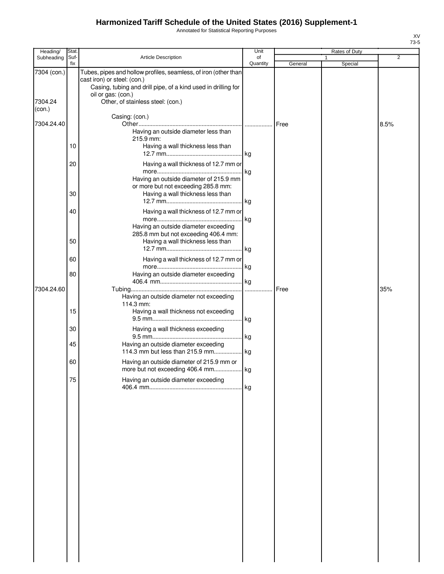Annotated for Statistical Reporting Purposes

| Heading/          | Stat.       |                                                                                                                                                                                       | Unit           | Rates of Duty |  |         |      |
|-------------------|-------------|---------------------------------------------------------------------------------------------------------------------------------------------------------------------------------------|----------------|---------------|--|---------|------|
| Subheading        | Suf-<br>fix | Article Description                                                                                                                                                                   | of<br>Quantity | General       |  | Special | 2    |
| 7304 (con.)       |             | Tubes, pipes and hollow profiles, seamless, of iron (other than<br>cast iron) or steel: (con.)<br>Casing, tubing and drill pipe, of a kind used in drilling for<br>oil or gas: (con.) |                |               |  |         |      |
| 7304.24<br>(con.) |             | Other, of stainless steel: (con.)                                                                                                                                                     |                |               |  |         |      |
| 7304.24.40        |             | Casing: (con.)<br>Having an outside diameter less than<br>215.9 mm:                                                                                                                   |                | Free          |  |         | 8.5% |
|                   | 10          | Having a wall thickness less than                                                                                                                                                     |                |               |  |         |      |
|                   | 20          | Having a wall thickness of 12.7 mm or<br>Having an outside diameter of 215.9 mm                                                                                                       |                |               |  |         |      |
|                   | 30          | or more but not exceeding 285.8 mm:<br>Having a wall thickness less than                                                                                                              |                |               |  |         |      |
|                   | 40          | Having a wall thickness of 12.7 mm or<br>Having an outside diameter exceeding                                                                                                         | lkg.           |               |  |         |      |
|                   | 50          | 285.8 mm but not exceeding 406.4 mm:<br>Having a wall thickness less than                                                                                                             |                |               |  |         |      |
|                   | 60          | Having a wall thickness of 12.7 mm or                                                                                                                                                 | . kg           |               |  |         |      |
|                   | 80          | Having an outside diameter exceeding                                                                                                                                                  |                |               |  |         |      |
| 7304.24.60        |             | Having an outside diameter not exceeding<br>114.3 mm:                                                                                                                                 | .              | Free          |  |         | 35%  |
|                   | 15          | Having a wall thickness not exceeding                                                                                                                                                 | . kg           |               |  |         |      |
|                   | 30<br>45    | Having a wall thickness exceeding<br>Having an outside diameter exceeding                                                                                                             | . kg           |               |  |         |      |
|                   |             | 114.3 mm but less than 215.9 mm                                                                                                                                                       | .  kg          |               |  |         |      |
|                   | 60          | Having an outside diameter of 215.9 mm or<br>more but not exceeding 406.4 mm.                                                                                                         | kg             |               |  |         |      |
|                   | 75          | Having an outside diameter exceeding                                                                                                                                                  | kg             |               |  |         |      |
|                   |             |                                                                                                                                                                                       |                |               |  |         |      |
|                   |             |                                                                                                                                                                                       |                |               |  |         |      |
|                   |             |                                                                                                                                                                                       |                |               |  |         |      |
|                   |             |                                                                                                                                                                                       |                |               |  |         |      |
|                   |             |                                                                                                                                                                                       |                |               |  |         |      |
|                   |             |                                                                                                                                                                                       |                |               |  |         |      |
|                   |             |                                                                                                                                                                                       |                |               |  |         |      |
|                   |             |                                                                                                                                                                                       |                |               |  |         |      |
|                   |             |                                                                                                                                                                                       |                |               |  |         |      |
|                   |             |                                                                                                                                                                                       |                |               |  |         |      |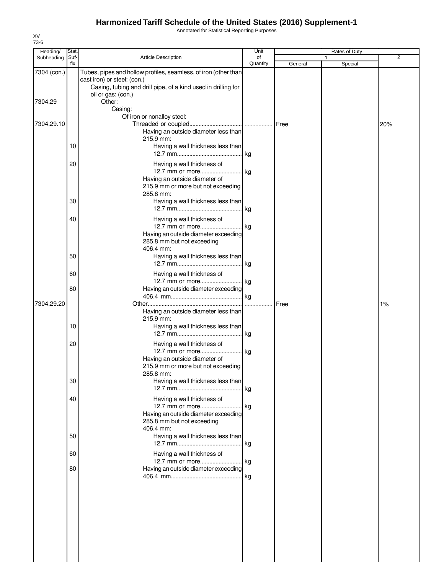Annotated for Statistical Reporting Purposes

|                                         |                                                                                                   | Unit                                                                                                                                                                 |                                                                                                                                                                                                                                                                                                                                                                                                                                                                                                                                                                                                                                                                                                 |                 |         |
|-----------------------------------------|---------------------------------------------------------------------------------------------------|----------------------------------------------------------------------------------------------------------------------------------------------------------------------|-------------------------------------------------------------------------------------------------------------------------------------------------------------------------------------------------------------------------------------------------------------------------------------------------------------------------------------------------------------------------------------------------------------------------------------------------------------------------------------------------------------------------------------------------------------------------------------------------------------------------------------------------------------------------------------------------|-----------------|---------|
| Suf-                                    | Article Description                                                                               | of                                                                                                                                                                   |                                                                                                                                                                                                                                                                                                                                                                                                                                                                                                                                                                                                                                                                                                 |                 | 2       |
|                                         | cast iron) or steel: (con.)<br>Casing, tubing and drill pipe, of a kind used in drilling for      |                                                                                                                                                                      |                                                                                                                                                                                                                                                                                                                                                                                                                                                                                                                                                                                                                                                                                                 |                 |         |
|                                         | Other:<br>Casing:                                                                                 |                                                                                                                                                                      |                                                                                                                                                                                                                                                                                                                                                                                                                                                                                                                                                                                                                                                                                                 |                 |         |
|                                         |                                                                                                   |                                                                                                                                                                      |                                                                                                                                                                                                                                                                                                                                                                                                                                                                                                                                                                                                                                                                                                 |                 | 20%     |
| 10                                      |                                                                                                   |                                                                                                                                                                      |                                                                                                                                                                                                                                                                                                                                                                                                                                                                                                                                                                                                                                                                                                 |                 |         |
| 20                                      | Having a wall thickness of<br>Having an outside diameter of<br>215.9 mm or more but not exceeding |                                                                                                                                                                      |                                                                                                                                                                                                                                                                                                                                                                                                                                                                                                                                                                                                                                                                                                 |                 |         |
| 30                                      |                                                                                                   |                                                                                                                                                                      |                                                                                                                                                                                                                                                                                                                                                                                                                                                                                                                                                                                                                                                                                                 |                 |         |
| 40                                      | Having a wall thickness of                                                                        |                                                                                                                                                                      |                                                                                                                                                                                                                                                                                                                                                                                                                                                                                                                                                                                                                                                                                                 |                 |         |
| 50                                      | 406.4 mm:                                                                                         |                                                                                                                                                                      |                                                                                                                                                                                                                                                                                                                                                                                                                                                                                                                                                                                                                                                                                                 |                 |         |
| 60                                      | Having a wall thickness of                                                                        |                                                                                                                                                                      |                                                                                                                                                                                                                                                                                                                                                                                                                                                                                                                                                                                                                                                                                                 |                 |         |
| 80                                      |                                                                                                   |                                                                                                                                                                      |                                                                                                                                                                                                                                                                                                                                                                                                                                                                                                                                                                                                                                                                                                 |                 |         |
| 10                                      | 215.9 mm:                                                                                         |                                                                                                                                                                      |                                                                                                                                                                                                                                                                                                                                                                                                                                                                                                                                                                                                                                                                                                 |                 | 1%      |
| 20                                      | Having a wall thickness of                                                                        |                                                                                                                                                                      |                                                                                                                                                                                                                                                                                                                                                                                                                                                                                                                                                                                                                                                                                                 |                 |         |
|                                         | Having an outside diameter of<br>285.8 mm:                                                        |                                                                                                                                                                      |                                                                                                                                                                                                                                                                                                                                                                                                                                                                                                                                                                                                                                                                                                 |                 |         |
| 30                                      |                                                                                                   |                                                                                                                                                                      |                                                                                                                                                                                                                                                                                                                                                                                                                                                                                                                                                                                                                                                                                                 |                 |         |
|                                         | 285.8 mm but not exceeding<br>406.4 mm:                                                           |                                                                                                                                                                      |                                                                                                                                                                                                                                                                                                                                                                                                                                                                                                                                                                                                                                                                                                 |                 |         |
| 50                                      |                                                                                                   |                                                                                                                                                                      |                                                                                                                                                                                                                                                                                                                                                                                                                                                                                                                                                                                                                                                                                                 |                 |         |
|                                         |                                                                                                   |                                                                                                                                                                      |                                                                                                                                                                                                                                                                                                                                                                                                                                                                                                                                                                                                                                                                                                 |                 |         |
|                                         |                                                                                                   |                                                                                                                                                                      |                                                                                                                                                                                                                                                                                                                                                                                                                                                                                                                                                                                                                                                                                                 |                 |         |
| 7304 (con.)<br>7304.29.10<br>7304.29.20 | fix<br>40<br>60<br>80                                                                             | oil or gas: (con.)<br>Of iron or nonalloy steel:<br>215.9 mm:<br>285.8 mm:<br>285.8 mm but not exceeding<br>Having a wall thickness of<br>Having a wall thickness of | Quantity<br>Tubes, pipes and hollow profiles, seamless, of iron (other than<br>Having an outside diameter less than<br>Having a wall thickness less than<br>Having a wall thickness less than<br>12.7 mm or more kg<br>Having an outside diameter exceeding<br>Having a wall thickness less than<br>.Ikg<br>12.7 mm or more kg<br>Having an outside diameter exceeding<br>Having an outside diameter less than<br>Having a wall thickness less than<br>12.7 mm or more kg<br>215.9 mm or more but not exceeding<br>Having a wall thickness less than<br>Having an outside diameter exceeding<br>Having a wall thickness less than<br>12.7 mm or more kg<br>Having an outside diameter exceeding | General<br>Free | Special |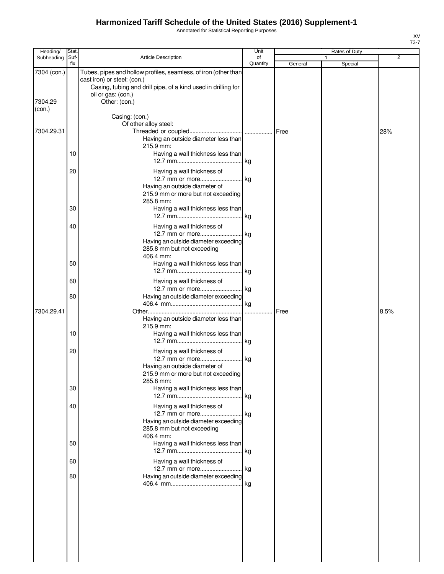Annotated for Statistical Reporting Purposes

| Heading/               | Stat.       |                                                                                                                                                                                                        | Unit           |         | Rates of Duty |      |
|------------------------|-------------|--------------------------------------------------------------------------------------------------------------------------------------------------------------------------------------------------------|----------------|---------|---------------|------|
| Subheading             | Suf-<br>fix | Article Description                                                                                                                                                                                    | of<br>Quantity | General | 1<br>Special  | 2    |
| 7304 (con.)<br>7304.29 |             | Tubes, pipes and hollow profiles, seamless, of iron (other than<br>cast iron) or steel: (con.)<br>Casing, tubing and drill pipe, of a kind used in drilling for<br>oil or gas: (con.)<br>Other: (con.) |                |         |               |      |
| (con.)                 |             | Casing: (con.)                                                                                                                                                                                         |                |         |               |      |
| 7304.29.31             | 10          | Of other alloy steel:<br>Having an outside diameter less than<br>215.9 mm:<br>Having a wall thickness less than                                                                                        |                | Free    |               | 28%  |
|                        | 20          | Having a wall thickness of<br>12.7 mm or more kg<br>Having an outside diameter of<br>215.9 mm or more but not exceeding<br>285.8 mm:                                                                   |                |         |               |      |
|                        | 30          | Having a wall thickness less than                                                                                                                                                                      |                |         |               |      |
|                        | 40<br>50    | Having a wall thickness of<br>Having an outside diameter exceeding<br>285.8 mm but not exceeding<br>406.4 mm:<br>Having a wall thickness less than                                                     |                |         |               |      |
|                        |             |                                                                                                                                                                                                        |                |         |               |      |
|                        | 60<br>80    | Having a wall thickness of<br>12.7 mm or more kg<br>Having an outside diameter exceeding                                                                                                               |                |         |               |      |
| 7304.29.41             |             |                                                                                                                                                                                                        |                | Free    |               | 8.5% |
|                        | 10          | Having an outside diameter less than<br>215.9 mm:<br>Having a wall thickness less than                                                                                                                 |                |         |               |      |
|                        | 20          | Having a wall thickness of<br>Having an outside diameter of<br>215.9 mm or more but not exceeding<br>285.8 mm:                                                                                         |                |         |               |      |
|                        | 30          | Having a wall thickness less than                                                                                                                                                                      |                |         |               |      |
|                        | 40          | Having a wall thickness of<br>12.7 mm or more kg<br>Having an outside diameter exceeding<br>285.8 mm but not exceeding<br>406.4 mm:                                                                    |                |         |               |      |
|                        | 50          | Having a wall thickness less than                                                                                                                                                                      |                |         |               |      |
|                        | 60          | Having a wall thickness of<br>12.7 mm or more kg                                                                                                                                                       |                |         |               |      |
|                        | 80          | Having an outside diameter exceeding                                                                                                                                                                   |                |         |               |      |
|                        |             |                                                                                                                                                                                                        |                |         |               |      |
|                        |             |                                                                                                                                                                                                        |                |         |               |      |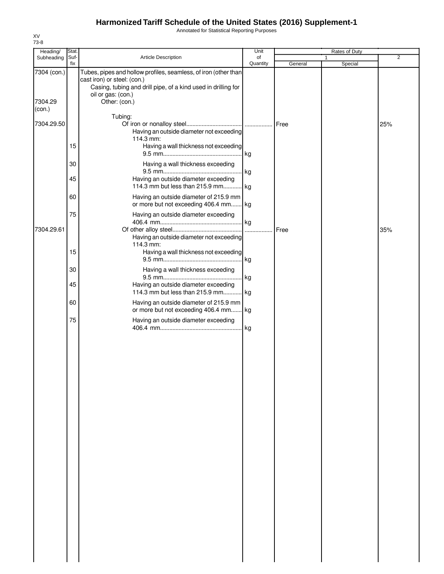Annotated for Statistical Reporting Purposes

| Heading/          | Stat. |                                                                                                                                                                 | Unit     | Rates of Duty |              |                |
|-------------------|-------|-----------------------------------------------------------------------------------------------------------------------------------------------------------------|----------|---------------|--------------|----------------|
| Subheading        | Suf-  | Article Description                                                                                                                                             | of       |               | $\mathbf{1}$ | $\overline{2}$ |
| 7304 (con.)       | fix   | Tubes, pipes and hollow profiles, seamless, of iron (other than<br>cast iron) or steel: (con.)<br>Casing, tubing and drill pipe, of a kind used in drilling for | Quantity | General       | Special      |                |
| 7304.29<br>(con.) |       | oil or gas: (con.)<br>Other: (con.)                                                                                                                             |          |               |              |                |
| 7304.29.50        |       | Tubing:<br>Having an outside diameter not exceeding<br>114.3 mm:                                                                                                |          | Free          |              | 25%            |
|                   | 15    | Having a wall thickness not exceeding                                                                                                                           | kg       |               |              |                |
|                   | 30    | Having a wall thickness exceeding                                                                                                                               | kg       |               |              |                |
|                   | 45    | Having an outside diameter exceeding<br>114.3 mm but less than 215.9 mm kg                                                                                      |          |               |              |                |
|                   | 60    | Having an outside diameter of 215.9 mm<br>or more but not exceeding 406.4 mm kg                                                                                 |          |               |              |                |
| 7304.29.61        | 75    | Having an outside diameter exceeding                                                                                                                            |          | Free          |              | 35%            |
|                   | 15    | Having an outside diameter not exceeding<br>114.3 mm:<br>Having a wall thickness not exceeding                                                                  |          |               |              |                |
|                   | 30    | Having a wall thickness exceeding                                                                                                                               |          |               |              |                |
|                   | 45    | Having an outside diameter exceeding<br>114.3 mm but less than 215.9 mm kg                                                                                      | . kg     |               |              |                |
|                   | 60    | Having an outside diameter of 215.9 mm<br>or more but not exceeding 406.4 mm kg                                                                                 |          |               |              |                |
|                   | 75    | Having an outside diameter exceeding                                                                                                                            | kg       |               |              |                |
|                   |       |                                                                                                                                                                 |          |               |              |                |
|                   |       |                                                                                                                                                                 |          |               |              |                |
|                   |       |                                                                                                                                                                 |          |               |              |                |
|                   |       |                                                                                                                                                                 |          |               |              |                |
|                   |       |                                                                                                                                                                 |          |               |              |                |
|                   |       |                                                                                                                                                                 |          |               |              |                |
|                   |       |                                                                                                                                                                 |          |               |              |                |
|                   |       |                                                                                                                                                                 |          |               |              |                |
|                   |       |                                                                                                                                                                 |          |               |              |                |
|                   |       |                                                                                                                                                                 |          |               |              |                |
|                   |       |                                                                                                                                                                 |          |               |              |                |
|                   |       |                                                                                                                                                                 |          |               |              |                |
|                   |       |                                                                                                                                                                 |          |               |              |                |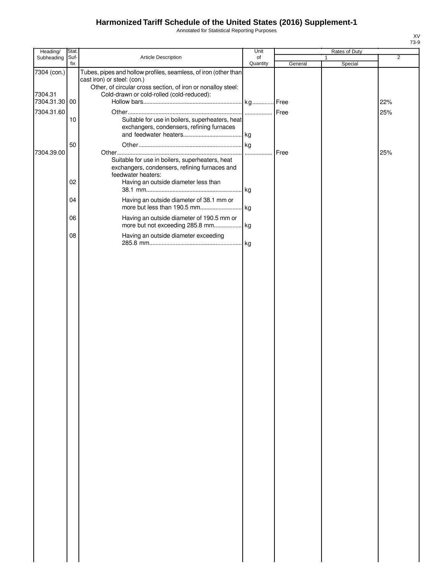Annotated for Statistical Reporting Purposes

| Heading/               | Stat.       |                                                                                                                                                                                                             | Unit           | Rates of Duty |                         |                |
|------------------------|-------------|-------------------------------------------------------------------------------------------------------------------------------------------------------------------------------------------------------------|----------------|---------------|-------------------------|----------------|
| Subheading             | Suf-<br>fix | Article Description                                                                                                                                                                                         | of<br>Quantity | General       | $\mathbf{1}$<br>Special | $\overline{2}$ |
| 7304 (con.)<br>7304.31 |             | Tubes, pipes and hollow profiles, seamless, of iron (other than<br>cast iron) or steel: (con.)<br>Other, of circular cross section, of iron or nonalloy steel:<br>Cold-drawn or cold-rolled (cold-reduced): |                |               |                         |                |
| 7304.31.30             | 00          |                                                                                                                                                                                                             |                |               |                         | 22%            |
| 7304.31.60             | 10          | Suitable for use in boilers, superheaters, heat<br>exchangers, condensers, refining furnaces                                                                                                                |                | Free          |                         | 25%            |
| 7304.39.00             | 50          | Suitable for use in boilers, superheaters, heat                                                                                                                                                             |                | Free          |                         | 25%            |
|                        |             | exchangers, condensers, refining furnaces and<br>feedwater heaters:                                                                                                                                         |                |               |                         |                |
|                        | 02          | Having an outside diameter less than                                                                                                                                                                        |                |               |                         |                |
|                        | 04          | Having an outside diameter of 38.1 mm or                                                                                                                                                                    |                |               |                         |                |
|                        | 06<br>08    | Having an outside diameter of 190.5 mm or<br>Having an outside diameter exceeding                                                                                                                           |                |               |                         |                |
|                        |             |                                                                                                                                                                                                             |                |               |                         |                |
|                        |             |                                                                                                                                                                                                             |                |               |                         |                |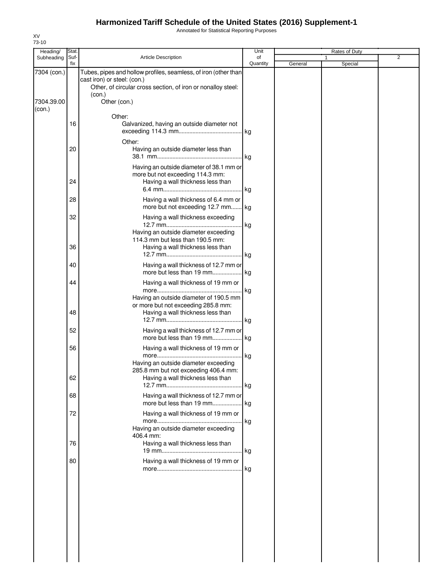Annotated for Statistical Reporting Purposes

| Subheading<br>7304 (con.) | Suf-<br>fix | <b>Article Description</b>                                                                                                                                               | of       |         |         | $\overline{2}$ |
|---------------------------|-------------|--------------------------------------------------------------------------------------------------------------------------------------------------------------------------|----------|---------|---------|----------------|
|                           |             |                                                                                                                                                                          | Quantity | General | Special |                |
|                           |             | Tubes, pipes and hollow profiles, seamless, of iron (other than<br>cast iron) or steel: (con.)<br>Other, of circular cross section, of iron or nonalloy steel:<br>(con.) |          |         |         |                |
| 7304.39.00<br>(con.)      |             | Other (con.)                                                                                                                                                             |          |         |         |                |
|                           |             | Other:                                                                                                                                                                   |          |         |         |                |
|                           | 16          | Galvanized, having an outside diameter not                                                                                                                               | kg       |         |         |                |
|                           | 20          | Other:<br>Having an outside diameter less than                                                                                                                           | . kg     |         |         |                |
|                           | 24          | Having an outside diameter of 38.1 mm or<br>more but not exceeding 114.3 mm:<br>Having a wall thickness less than                                                        |          |         |         |                |
|                           |             |                                                                                                                                                                          |          |         |         |                |
|                           | 28          | Having a wall thickness of 6.4 mm or<br>more but not exceeding 12.7 mm kg                                                                                                |          |         |         |                |
|                           | 32          | Having a wall thickness exceeding                                                                                                                                        | kg       |         |         |                |
|                           | 36          | Having an outside diameter exceeding<br>114.3 mm but less than 190.5 mm:<br>Having a wall thickness less than                                                            |          |         |         |                |
|                           | 40          | Having a wall thickness of 12.7 mm or                                                                                                                                    | kg       |         |         |                |
|                           | 44          | Having a wall thickness of 19 mm or                                                                                                                                      |          |         |         |                |
|                           |             | Having an outside diameter of 190.5 mm<br>or more but not exceeding 285.8 mm:                                                                                            | . kg     |         |         |                |
|                           | 48          | Having a wall thickness less than                                                                                                                                        | kg       |         |         |                |
|                           | 52          | Having a wall thickness of 12.7 mm or<br>more but less than 19 mm                                                                                                        | kg       |         |         |                |
|                           | 56          | Having a wall thickness of 19 mm or                                                                                                                                      | kg       |         |         |                |
|                           | 62          | Having an outside diameter exceeding<br>285.8 mm but not exceeding 406.4 mm:<br>Having a wall thickness less than                                                        |          |         |         |                |
|                           | 68          | Having a wall thickness of 12.7 mm or                                                                                                                                    |          |         |         |                |
|                           | 72          | more but less than 19 mm<br>Having a wall thickness of 19 mm or                                                                                                          | . kg     |         |         |                |
|                           |             | Having an outside diameter exceeding                                                                                                                                     | kg       |         |         |                |
|                           | 76          | 406.4 mm:<br>Having a wall thickness less than                                                                                                                           | kg       |         |         |                |
|                           | 80          | Having a wall thickness of 19 mm or                                                                                                                                      | . kg     |         |         |                |
|                           |             |                                                                                                                                                                          |          |         |         |                |
|                           |             |                                                                                                                                                                          |          |         |         |                |
|                           |             |                                                                                                                                                                          |          |         |         |                |
|                           |             |                                                                                                                                                                          |          |         |         |                |
|                           |             |                                                                                                                                                                          |          |         |         |                |
|                           |             |                                                                                                                                                                          |          |         |         |                |

XV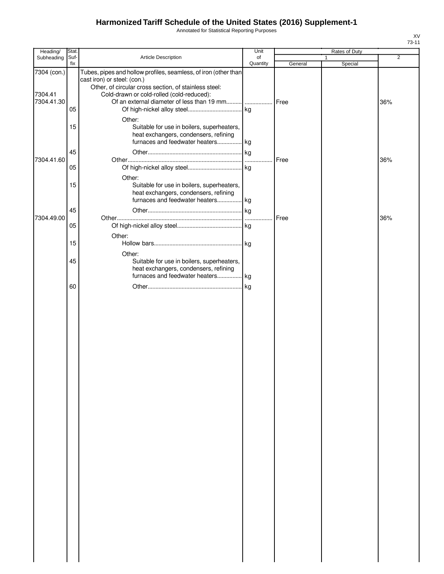Annotated for Statistical Reporting Purposes

| Heading/                             | Stat.       |                                                                                                                                                                                                      | Unit           |         | Rates of Duty           |                |
|--------------------------------------|-------------|------------------------------------------------------------------------------------------------------------------------------------------------------------------------------------------------------|----------------|---------|-------------------------|----------------|
| Subheading                           | Suf-<br>fix | <b>Article Description</b>                                                                                                                                                                           | of<br>Quantity | General | $\mathbf{1}$<br>Special | $\overline{2}$ |
| 7304 (con.)<br>7304.41<br>7304.41.30 | 05          | Tubes, pipes and hollow profiles, seamless, of iron (other than<br>cast iron) or steel: (con.)<br>Other, of circular cross section, of stainless steel:<br>Cold-drawn or cold-rolled (cold-reduced): |                |         |                         | 36%            |
|                                      | 15<br>45    | Other:<br>Suitable for use in boilers, superheaters,<br>heat exchangers, condensers, refining<br>furnaces and feedwater heaters kg                                                                   |                |         |                         |                |
| 7304.41.60                           | 05          |                                                                                                                                                                                                      | $\cdots$       | Free    |                         | 36%            |
|                                      | 15          | Other:<br>Suitable for use in boilers, superheaters,<br>heat exchangers, condensers, refining<br>furnaces and feedwater heaters kg                                                                   |                |         |                         |                |
| 7304.49.00                           | 45          |                                                                                                                                                                                                      | .              | Free    |                         | 36%            |
|                                      | 05          | Other:                                                                                                                                                                                               |                |         |                         |                |
|                                      | 15<br>45    | Other:<br>Suitable for use in boilers, superheaters,                                                                                                                                                 | . kg           |         |                         |                |
|                                      |             | heat exchangers, condensers, refining<br>furnaces and feedwater heaters kg                                                                                                                           |                |         |                         |                |
|                                      | 60          |                                                                                                                                                                                                      | kg             |         |                         |                |
|                                      |             |                                                                                                                                                                                                      |                |         |                         |                |
|                                      |             |                                                                                                                                                                                                      |                |         |                         |                |
|                                      |             |                                                                                                                                                                                                      |                |         |                         |                |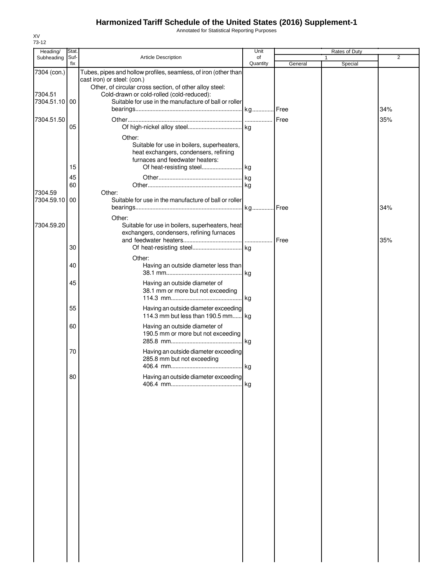Annotated for Statistical Reporting Purposes

| Heading/                             | Stat.          |                                                                                                                                                                                                                                                                 | Unit     |         | Rates of Duty |                |
|--------------------------------------|----------------|-----------------------------------------------------------------------------------------------------------------------------------------------------------------------------------------------------------------------------------------------------------------|----------|---------|---------------|----------------|
| Subheading                           | Suf-           | Article Description                                                                                                                                                                                                                                             | of       |         |               | $\overline{2}$ |
|                                      | fix            |                                                                                                                                                                                                                                                                 | Quantity | General | Special       |                |
| 7304 (con.)<br>7304.51<br>7304.51.10 | 00             | Tubes, pipes and hollow profiles, seamless, of iron (other than<br>cast iron) or steel: (con.)<br>Other, of circular cross section, of other alloy steel:<br>Cold-drawn or cold-rolled (cold-reduced):<br>Suitable for use in the manufacture of ball or roller |          |         |               | 34%            |
| 7304.51.50                           | 05             |                                                                                                                                                                                                                                                                 |          |         |               | 35%            |
| 7304.59                              | 15<br>45<br>60 | Other:<br>Suitable for use in boilers, superheaters,<br>heat exchangers, condensers, refining<br>furnaces and feedwater heaters:<br>Other:                                                                                                                      |          |         |               |                |
| 7304.59.10                           | 00             | Suitable for use in the manufacture of ball or roller                                                                                                                                                                                                           |          |         |               | 34%            |
| 7304.59.20                           |                | Other:<br>Suitable for use in boilers, superheaters, heat<br>exchangers, condensers, refining furnaces                                                                                                                                                          |          | Free    |               | 35%            |
|                                      | 30             |                                                                                                                                                                                                                                                                 |          |         |               |                |
|                                      | 40             | Other:<br>Having an outside diameter less than                                                                                                                                                                                                                  | kg       |         |               |                |
|                                      | 45             | Having an outside diameter of<br>38.1 mm or more but not exceeding                                                                                                                                                                                              |          |         |               |                |
|                                      | 55             | Having an outside diameter exceeding<br>114.3 mm but less than 190.5 mm                                                                                                                                                                                         | lkg.     |         |               |                |
|                                      | 60             | Having an outside diameter of<br>190.5 mm or more but not exceeding                                                                                                                                                                                             |          |         |               |                |
|                                      | 70             | Having an outside diameter exceeding<br>285.8 mm but not exceeding                                                                                                                                                                                              |          |         |               |                |
|                                      | 80             | Having an outside diameter exceeding                                                                                                                                                                                                                            | kg       |         |               |                |
|                                      |                |                                                                                                                                                                                                                                                                 |          |         |               |                |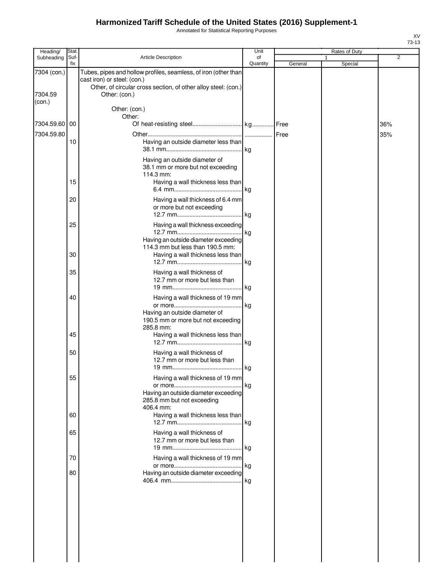Annotated for Statistical Reporting Purposes

| Heading/          | Stat.       |                                                                                                                                                                  | Unit           |         | Rates of Duty |                |
|-------------------|-------------|------------------------------------------------------------------------------------------------------------------------------------------------------------------|----------------|---------|---------------|----------------|
| Subheading        | Suf-<br>fix | <b>Article Description</b>                                                                                                                                       | of<br>Quantity |         |               | $\overline{2}$ |
| 7304 (con.)       |             | Tubes, pipes and hollow profiles, seamless, of iron (other than<br>cast iron) or steel: (con.)<br>Other, of circular cross section, of other alloy steel: (con.) |                | General | Special       |                |
| 7304.59<br>(con.) |             | Other: (con.)                                                                                                                                                    |                |         |               |                |
|                   |             | Other: (con.)<br>Other:                                                                                                                                          |                |         |               |                |
| 7304.59.60 00     |             |                                                                                                                                                                  |                |         |               | 36%            |
| 7304.59.80        |             |                                                                                                                                                                  | .              | Free    |               | 35%            |
|                   | 10          | Having an outside diameter less than                                                                                                                             |                |         |               |                |
|                   |             | Having an outside diameter of<br>38.1 mm or more but not exceeding<br>114.3 mm:                                                                                  |                |         |               |                |
|                   | 15          | Having a wall thickness less than                                                                                                                                |                |         |               |                |
|                   |             |                                                                                                                                                                  |                |         |               |                |
|                   | 20          | Having a wall thickness of 6.4 mm<br>or more but not exceeding                                                                                                   |                |         |               |                |
|                   | 25          | Having a wall thickness exceeding                                                                                                                                |                |         |               |                |
|                   |             |                                                                                                                                                                  | kg             |         |               |                |
|                   | 30          | Having an outside diameter exceeding<br>114.3 mm but less than 190.5 mm:<br>Having a wall thickness less than                                                    | . kg           |         |               |                |
|                   | 35          | Having a wall thickness of<br>12.7 mm or more but less than                                                                                                      |                |         |               |                |
|                   |             |                                                                                                                                                                  |                |         |               |                |
|                   | 40          | Having a wall thickness of 19 mm                                                                                                                                 | kg             |         |               |                |
|                   |             | Having an outside diameter of<br>190.5 mm or more but not exceeding<br>285.8 mm:                                                                                 |                |         |               |                |
|                   | 45          | Having a wall thickness less than                                                                                                                                |                |         |               |                |
|                   | 50          | Having a wall thickness of<br>12.7 mm or more but less than                                                                                                      |                |         |               |                |
|                   |             |                                                                                                                                                                  |                |         |               |                |
|                   | 55          | Having a wall thickness of 19 mm<br>Having an outside diameter exceeding                                                                                         | kg             |         |               |                |
|                   | 60          | 285.8 mm but not exceeding<br>406.4 mm:<br>Having a wall thickness less than                                                                                     |                |         |               |                |
|                   |             |                                                                                                                                                                  |                |         |               |                |
|                   | 65          | Having a wall thickness of<br>12.7 mm or more but less than                                                                                                      |                |         |               |                |
|                   | 70          | Having a wall thickness of 19 mm                                                                                                                                 |                |         |               |                |
|                   |             |                                                                                                                                                                  | kg             |         |               |                |
|                   | 80          | Having an outside diameter exceeding                                                                                                                             | kg             |         |               |                |
|                   |             |                                                                                                                                                                  |                |         |               |                |
|                   |             |                                                                                                                                                                  |                |         |               |                |
|                   |             |                                                                                                                                                                  |                |         |               |                |
|                   |             |                                                                                                                                                                  |                |         |               |                |

 $\begin{array}{c} \hline \end{array}$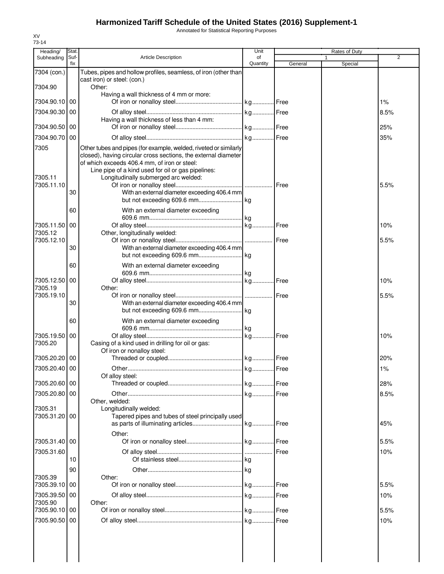Annotated for Statistical Reporting Purposes

| Heading/                      | Stat.       |                                                                                                                                                                                                                                                                                                                                  | Unit           |         | Rates of Duty |                |
|-------------------------------|-------------|----------------------------------------------------------------------------------------------------------------------------------------------------------------------------------------------------------------------------------------------------------------------------------------------------------------------------------|----------------|---------|---------------|----------------|
| Subheading                    | Suf-<br>fix | Article Description                                                                                                                                                                                                                                                                                                              | οf<br>Quantity | General | 1<br>Special  | $\overline{2}$ |
| 7304 (con.)                   |             | Tubes, pipes and hollow profiles, seamless, of iron (other than                                                                                                                                                                                                                                                                  |                |         |               |                |
| 7304.90                       |             | cast iron) or steel: (con.)                                                                                                                                                                                                                                                                                                      |                |         |               |                |
|                               |             | Other:<br>Having a wall thickness of 4 mm or more:                                                                                                                                                                                                                                                                               |                |         |               |                |
| 7304.90.10                    | 00          |                                                                                                                                                                                                                                                                                                                                  |                |         |               | 1%             |
| 7304.90.30                    | 00          |                                                                                                                                                                                                                                                                                                                                  |                |         |               | 8.5%           |
| 7304.90.50                    | 00          | Having a wall thickness of less than 4 mm:                                                                                                                                                                                                                                                                                       |                |         |               | 25%            |
| 7304.90.70                    | 00          |                                                                                                                                                                                                                                                                                                                                  |                |         |               |                |
|                               |             |                                                                                                                                                                                                                                                                                                                                  |                |         |               | 35%            |
| 7305<br>7305.11<br>7305.11.10 | 30          | Other tubes and pipes (for example, welded, riveted or similarly<br>closed), having circular cross sections, the external diameter<br>of which exceeds 406.4 mm, of iron or steel:<br>Line pipe of a kind used for oil or gas pipelines:<br>Longitudinally submerged arc welded:<br>With an external diameter exceeding 406.4 mm |                |         |               | 5.5%           |
|                               | 60          | With an external diameter exceeding                                                                                                                                                                                                                                                                                              |                |         |               |                |
| 7305.11.50                    | 00          |                                                                                                                                                                                                                                                                                                                                  |                |         |               | 10%            |
| 7305.12                       |             | Other, longitudinally welded:                                                                                                                                                                                                                                                                                                    |                |         |               |                |
| 7305.12.10                    |             |                                                                                                                                                                                                                                                                                                                                  |                |         |               | 5.5%           |
|                               | 30          | With an external diameter exceeding 406.4 mm                                                                                                                                                                                                                                                                                     |                |         |               |                |
|                               | 60          | With an external diameter exceeding                                                                                                                                                                                                                                                                                              |                |         |               |                |
|                               |             |                                                                                                                                                                                                                                                                                                                                  |                |         |               |                |
| 7305.12.50                    | 00          |                                                                                                                                                                                                                                                                                                                                  |                |         |               | 10%            |
| 7305.19<br>7305.19.10         |             | Other:                                                                                                                                                                                                                                                                                                                           |                |         |               | 5.5%           |
|                               | 30          | With an external diameter exceeding 406.4 mm                                                                                                                                                                                                                                                                                     |                |         |               |                |
|                               |             |                                                                                                                                                                                                                                                                                                                                  |                |         |               |                |
|                               | 60          | With an external diameter exceeding                                                                                                                                                                                                                                                                                              |                |         |               |                |
| 7305.19.50                    | 00          |                                                                                                                                                                                                                                                                                                                                  |                |         |               | 10%            |
| 7305.20                       |             | Casing of a kind used in drilling for oil or gas:                                                                                                                                                                                                                                                                                |                |         |               |                |
| 7305.20.20 00                 |             | Of iron or nonalloy steel:                                                                                                                                                                                                                                                                                                       |                |         |               | 20%            |
| 7305.20.40 00                 |             |                                                                                                                                                                                                                                                                                                                                  |                |         |               | 1%             |
|                               |             | Of alloy steel:                                                                                                                                                                                                                                                                                                                  |                |         |               |                |
| 7305.20.60                    | 00          |                                                                                                                                                                                                                                                                                                                                  |                |         |               | 28%            |
| 7305.20.80 00                 |             |                                                                                                                                                                                                                                                                                                                                  |                |         |               | 8.5%           |
| 7305.31                       |             | Other, welded:<br>Longitudinally welded:                                                                                                                                                                                                                                                                                         |                |         |               |                |
| 7305.31.20                    | 00          | Tapered pipes and tubes of steel principally used                                                                                                                                                                                                                                                                                |                |         |               |                |
|                               |             |                                                                                                                                                                                                                                                                                                                                  |                |         |               | 45%            |
| 7305.31.40 00                 |             | Other:                                                                                                                                                                                                                                                                                                                           |                |         |               | 5.5%           |
| 7305.31.60                    |             |                                                                                                                                                                                                                                                                                                                                  |                | Free    |               | 10%            |
|                               | 10          |                                                                                                                                                                                                                                                                                                                                  |                |         |               |                |
|                               | 90          |                                                                                                                                                                                                                                                                                                                                  |                |         |               |                |
| 7305.39                       |             | Other:                                                                                                                                                                                                                                                                                                                           |                |         |               |                |
| 7305.39.10                    | 00          |                                                                                                                                                                                                                                                                                                                                  |                |         |               | 5.5%           |
| 7305.39.50<br>7305.90         | 00          | Other:                                                                                                                                                                                                                                                                                                                           |                |         |               | 10%            |
| 7305.90.10 00                 |             |                                                                                                                                                                                                                                                                                                                                  |                |         |               | 5.5%           |
| 7305.90.50                    | 00          |                                                                                                                                                                                                                                                                                                                                  |                |         |               | 10%            |
|                               |             |                                                                                                                                                                                                                                                                                                                                  |                |         |               |                |
|                               |             |                                                                                                                                                                                                                                                                                                                                  |                |         |               |                |
|                               |             |                                                                                                                                                                                                                                                                                                                                  |                |         |               |                |
|                               |             |                                                                                                                                                                                                                                                                                                                                  |                |         |               |                |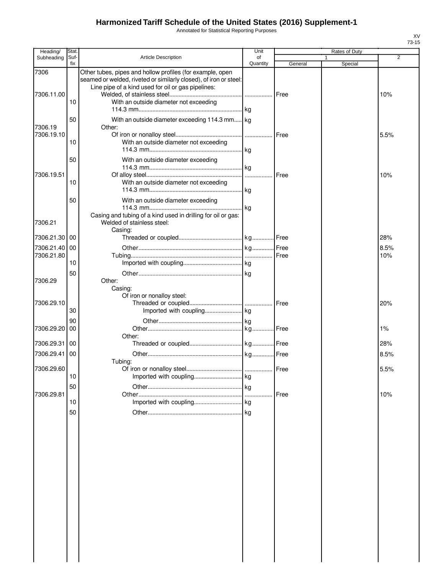Annotated for Statistical Reporting Purposes

| Heading/   | Stat. |                                                                                                                                | Unit     |             | Rates of Duty |      |
|------------|-------|--------------------------------------------------------------------------------------------------------------------------------|----------|-------------|---------------|------|
| Subheading | Suf-  | <b>Article Description</b>                                                                                                     | of       |             | 1             | 2    |
|            | fix   |                                                                                                                                | Quantity | General     | Special       |      |
| 7306       |       | Other tubes, pipes and hollow profiles (for example, open<br>seamed or welded, riveted or similarly closed), of iron or steel: |          |             |               |      |
|            |       | Line pipe of a kind used for oil or gas pipelines:                                                                             |          |             |               |      |
| 7306.11.00 |       |                                                                                                                                |          | <b>Free</b> |               | 10%  |
|            | 10    | With an outside diameter not exceeding                                                                                         |          |             |               |      |
|            |       |                                                                                                                                |          |             |               |      |
|            | 50    | With an outside diameter exceeding 114.3 mm kg                                                                                 |          |             |               |      |
| 7306.19    |       | Other:                                                                                                                         |          |             |               |      |
| 7306.19.10 |       |                                                                                                                                |          | Free        |               | 5.5% |
|            | 10    | With an outside diameter not exceeding                                                                                         |          |             |               |      |
|            |       |                                                                                                                                |          |             |               |      |
|            | 50    | With an outside diameter exceeding                                                                                             |          |             |               |      |
|            |       |                                                                                                                                |          | Free        |               |      |
| 7306.19.51 | 10    | With an outside diameter not exceeding                                                                                         |          |             |               | 10%  |
|            |       |                                                                                                                                |          |             |               |      |
|            |       |                                                                                                                                |          |             |               |      |
|            | 50    | With an outside diameter exceeding                                                                                             |          |             |               |      |
|            |       | Casing and tubing of a kind used in drilling for oil or gas:                                                                   |          |             |               |      |
| 7306.21    |       | Welded of stainless steel:                                                                                                     |          |             |               |      |
|            |       | Casing:                                                                                                                        |          |             |               |      |
| 7306.21.30 | 00    |                                                                                                                                |          |             |               | 28%  |
| 7306.21.40 | 00    |                                                                                                                                |          |             |               | 8.5% |
| 7306.21.80 |       |                                                                                                                                |          |             |               | 10%  |
|            | 10    |                                                                                                                                |          |             |               |      |
|            | 50    |                                                                                                                                |          |             |               |      |
| 7306.29    |       | Other:                                                                                                                         |          |             |               |      |
|            |       | Casing:                                                                                                                        |          |             |               |      |
|            |       | Of iron or nonalloy steel:                                                                                                     |          |             |               |      |
| 7306.29.10 |       |                                                                                                                                |          |             |               | 20%  |
|            | 30    |                                                                                                                                |          |             |               |      |
|            | 90    |                                                                                                                                |          |             |               |      |
| 7306.29.20 | 00    |                                                                                                                                |          |             |               | 1%   |
| 7306.29.31 | 00    | Other:                                                                                                                         |          |             |               | 28%  |
|            |       |                                                                                                                                |          |             |               |      |
| 7306.29.41 | 00    |                                                                                                                                |          |             |               | 8.5% |
| 7306.29.60 |       | Tubing:                                                                                                                        |          | Free        |               | 5.5% |
|            | 10    |                                                                                                                                |          |             |               |      |
|            | 50    |                                                                                                                                |          |             |               |      |
| 7306.29.81 |       |                                                                                                                                |          | Free        |               | 10%  |
|            | 10    |                                                                                                                                |          |             |               |      |
|            | 50    |                                                                                                                                |          |             |               |      |
|            |       |                                                                                                                                |          |             |               |      |
|            |       |                                                                                                                                |          |             |               |      |
|            |       |                                                                                                                                |          |             |               |      |
|            |       |                                                                                                                                |          |             |               |      |
|            |       |                                                                                                                                |          |             |               |      |
|            |       |                                                                                                                                |          |             |               |      |
|            |       |                                                                                                                                |          |             |               |      |
|            |       |                                                                                                                                |          |             |               |      |
|            |       |                                                                                                                                |          |             |               |      |
|            |       |                                                                                                                                |          |             |               |      |
|            |       |                                                                                                                                |          |             |               |      |
|            |       |                                                                                                                                |          |             |               |      |
|            |       |                                                                                                                                |          |             |               |      |
|            |       |                                                                                                                                |          |             |               |      |
|            |       |                                                                                                                                |          |             |               |      |
|            |       |                                                                                                                                |          |             |               |      |
|            |       |                                                                                                                                |          |             |               |      |
|            |       |                                                                                                                                |          |             |               |      |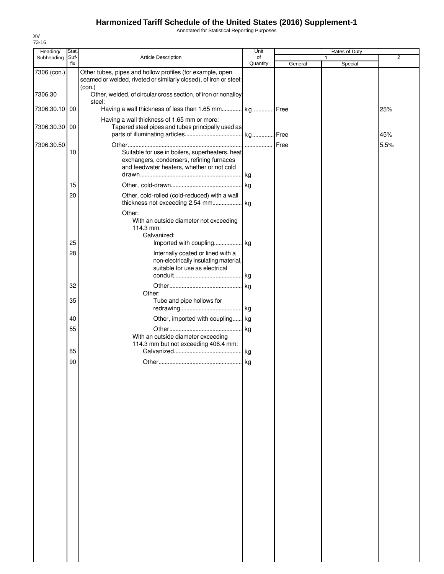Annotated for Statistical Reporting Purposes

| Heading/      | Stat.       |                                                                                                                                            | Unit           |         | <b>Rates of Duty</b> |                |
|---------------|-------------|--------------------------------------------------------------------------------------------------------------------------------------------|----------------|---------|----------------------|----------------|
| Subheading    | Suf-<br>fix | Article Description                                                                                                                        | of<br>Quantity | General | 1<br>Special         | $\overline{2}$ |
| 7306 (con.)   |             | Other tubes, pipes and hollow profiles (for example, open<br>seamed or welded, riveted or similarly closed), of iron or steel:             |                |         |                      |                |
| 7306.30       |             | (con.)<br>Other, welded, of circular cross section, of iron or nonalloy                                                                    |                |         |                      |                |
| 7306.30.10 00 |             | steel:<br>Having a wall thickness of less than 1.65 mm kg Free                                                                             |                |         |                      | 25%            |
| 7306.30.30    | 00          | Having a wall thickness of 1.65 mm or more:<br>Tapered steel pipes and tubes principally used as                                           |                |         |                      |                |
| 7306.30.50    |             |                                                                                                                                            |                |         |                      | 45%<br>5.5%    |
|               | 10          | Suitable for use in boilers, superheaters, heat<br>exchangers, condensers, refining furnaces<br>and feedwater heaters, whether or not cold |                |         |                      |                |
|               | 15          |                                                                                                                                            |                |         |                      |                |
|               | 20          | Other, cold-rolled (cold-reduced) with a wall                                                                                              |                |         |                      |                |
|               | 25          | Other:<br>With an outside diameter not exceeding<br>114.3 mm:<br>Galvanized:<br>Imported with coupling kg                                  |                |         |                      |                |
|               | 28          | Internally coated or lined with a<br>non-electrically insulating material,                                                                 |                |         |                      |                |
|               |             | suitable for use as electrical                                                                                                             | kg             |         |                      |                |
|               | 32          |                                                                                                                                            |                |         |                      |                |
|               | 35          | Other:<br>Tube and pipe hollows for                                                                                                        |                |         |                      |                |
|               |             |                                                                                                                                            |                |         |                      |                |
|               | 40          | Other, imported with coupling kg                                                                                                           |                |         |                      |                |
|               | 55          | With an outside diameter exceeding<br>114.3 mm but not exceeding 406.4 mm:                                                                 |                |         |                      |                |
|               | 85          |                                                                                                                                            | . kg           |         |                      |                |
|               | 90          |                                                                                                                                            |                |         |                      |                |
|               |             |                                                                                                                                            |                |         |                      |                |
|               |             |                                                                                                                                            |                |         |                      |                |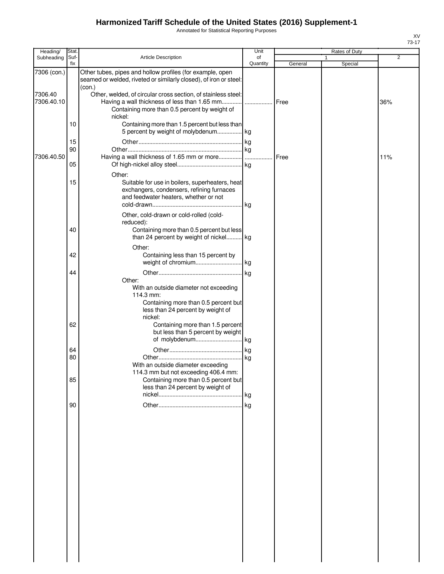Annotated for Statistical Reporting Purposes

| Heading/              | Stat.       |                                                                                                                                                                                 | Unit           |              | Rates of Duty |                |
|-----------------------|-------------|---------------------------------------------------------------------------------------------------------------------------------------------------------------------------------|----------------|--------------|---------------|----------------|
| Subheading            | Suf-<br>fix | <b>Article Description</b>                                                                                                                                                      | of<br>Quantity | General      | 1<br>Special  | $\overline{2}$ |
| 7306 (con.)           |             | Other tubes, pipes and hollow profiles (for example, open<br>seamed or welded, riveted or similarly closed), of iron or steel:                                                  |                |              |               |                |
| 7306.40<br>7306.40.10 |             | (con.)<br>Other, welded, of circular cross section, of stainless steel:<br>Containing more than 0.5 percent by weight of<br>nickel:                                             |                | Free         |               | 36%            |
|                       | 10          | Containing more than 1.5 percent but less than<br>5 percent by weight of molybdenum kg                                                                                          |                |              |               |                |
| 7306.40.50            | 15<br>90    |                                                                                                                                                                                 | .              | <b>IFree</b> |               | 11%            |
|                       | 05          | Other:                                                                                                                                                                          |                |              |               |                |
|                       | 15          | Suitable for use in boilers, superheaters, heat<br>exchangers, condensers, refining furnaces<br>and feedwater heaters, whether or not                                           |                |              |               |                |
|                       | 40          | Other, cold-drawn or cold-rolled (cold-<br>reduced):<br>Containing more than 0.5 percent but less<br>than 24 percent by weight of nickel kg                                     |                |              |               |                |
|                       | 42          | Other:<br>Containing less than 15 percent by                                                                                                                                    |                |              |               |                |
|                       | 44          | Other:                                                                                                                                                                          | .lkg           |              |               |                |
|                       | 62          | With an outside diameter not exceeding<br>114.3 mm:<br>Containing more than 0.5 percent but<br>less than 24 percent by weight of<br>nickel:<br>Containing more than 1.5 percent |                |              |               |                |
|                       |             | but less than 5 percent by weight                                                                                                                                               |                |              |               |                |
|                       | 64<br>80    | With an outside diameter exceeding<br>114.3 mm but not exceeding 406.4 mm:                                                                                                      |                |              |               |                |
|                       | 85          | Containing more than 0.5 percent but<br>less than 24 percent by weight of                                                                                                       |                |              |               |                |
|                       | 90          |                                                                                                                                                                                 |                |              |               |                |
|                       |             |                                                                                                                                                                                 |                |              |               |                |
|                       |             |                                                                                                                                                                                 |                |              |               |                |
|                       |             |                                                                                                                                                                                 |                |              |               |                |
|                       |             |                                                                                                                                                                                 |                |              |               |                |
|                       |             |                                                                                                                                                                                 |                |              |               |                |
|                       |             |                                                                                                                                                                                 |                |              |               |                |
|                       |             |                                                                                                                                                                                 |                |              |               |                |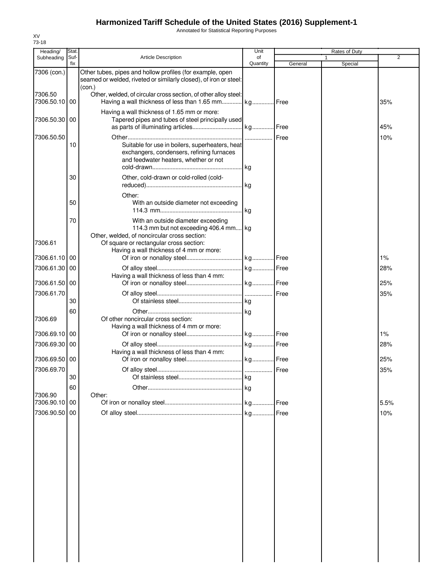Annotated for Statistical Reporting Purposes

| Heading/                    | Stat. |                                                                                                                                                                         | Unit      |         | Rates of Duty |                |
|-----------------------------|-------|-------------------------------------------------------------------------------------------------------------------------------------------------------------------------|-----------|---------|---------------|----------------|
| Subheading                  | Suf-  | <b>Article Description</b>                                                                                                                                              | of        |         |               | $\overline{2}$ |
| 7306 (con.)                 | fix   | Other tubes, pipes and hollow profiles (for example, open                                                                                                               | Quantity  | General | Special       |                |
|                             |       | seamed or welded, riveted or similarly closed), of iron or steel:<br>(con.)                                                                                             |           |         |               |                |
| 7306.50<br>7306.50.10       | 00    | Other, welded, of circular cross section, of other alloy steel:<br>Having a wall thickness of less than 1.65 mm                                                         | . kg Free |         |               | 35%            |
| 7306.50.30                  | 00    | Having a wall thickness of 1.65 mm or more:<br>Tapered pipes and tubes of steel principally used                                                                        | kg Free   |         |               | 45%            |
| 7306.50.50                  |       |                                                                                                                                                                         | Free      |         |               | 10%            |
|                             | 10    | Suitable for use in boilers, superheaters, heat<br>exchangers, condensers, refining furnaces<br>and feedwater heaters, whether or not                                   | .lkg      |         |               |                |
|                             | 30    | Other, cold-drawn or cold-rolled (cold-                                                                                                                                 | .lkg      |         |               |                |
|                             | 50    | Other:<br>With an outside diameter not exceeding                                                                                                                        |           |         |               |                |
|                             |       |                                                                                                                                                                         | lkg.      |         |               |                |
| 7306.61                     | 70    | With an outside diameter exceeding<br>114.3 mm but not exceeding 406.4 mm kg<br>Other, welded, of noncircular cross section:<br>Of square or rectangular cross section: |           |         |               |                |
| 7306.61.10                  | 00    | Having a wall thickness of 4 mm or more:                                                                                                                                |           |         |               | 1%             |
| 7306.61.30                  | 00    |                                                                                                                                                                         |           |         |               | 28%            |
| 7306.61.50                  | 00    | Having a wall thickness of less than 4 mm:                                                                                                                              |           |         |               | 25%            |
| 7306.61.70                  | 30    |                                                                                                                                                                         |           |         |               | 35%            |
|                             | 60    |                                                                                                                                                                         |           |         |               |                |
| 7306.69                     |       | Of other noncircular cross section:<br>Having a wall thickness of 4 mm or more:                                                                                         |           |         |               |                |
| 7306.69.10                  | 00    |                                                                                                                                                                         |           |         |               | 1%             |
| 7306.69.30                  | 00    | Having a wall thickness of less than 4 mm:                                                                                                                              |           |         |               | 28%            |
| 7306.69.50 00<br>7306.69.70 |       |                                                                                                                                                                         |           |         |               | 25%<br>35%     |
|                             | 30    |                                                                                                                                                                         | kg        |         |               |                |
|                             | 60    |                                                                                                                                                                         | kg        |         |               |                |
| 7306.90<br>7306.90.10       | 00    | Other:                                                                                                                                                                  |           |         |               | 5.5%           |
| 7306.90.50                  | 00    |                                                                                                                                                                         |           |         |               | 10%            |
|                             |       |                                                                                                                                                                         |           |         |               |                |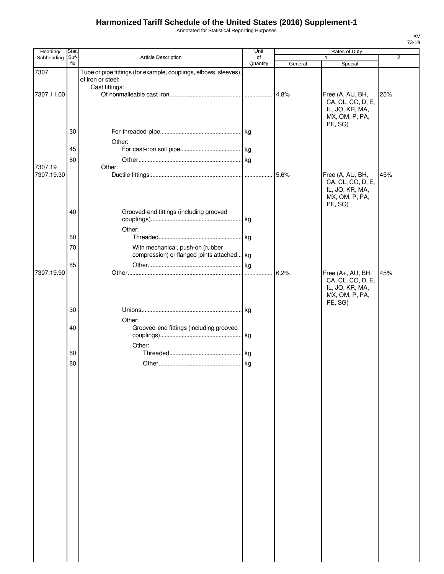Annotated for Statistical Reporting Purposes

| Heading/              | Stat.       |                                                                                      | Unit           |         | Rates of Duty                                                                         |                |
|-----------------------|-------------|--------------------------------------------------------------------------------------|----------------|---------|---------------------------------------------------------------------------------------|----------------|
| Subheading            | Suf-<br>fix | Article Description                                                                  | of<br>Quantity | General | 1<br>Special                                                                          | $\overline{2}$ |
| 7307                  |             | Tube or pipe fittings (for example, couplings, elbows, sleeves)<br>of iron or steel: |                |         |                                                                                       |                |
| 7307.11.00            |             | Cast fittings:                                                                       |                | 4.8%    | Free (A, AU, BH,<br>CA, CL, CO, D, E,<br>IL, JO, KR, MA,<br>MX, OM, P, PA,            | 25%            |
|                       | 30          |                                                                                      |                |         | PE, SG)                                                                               |                |
|                       | 45          | Other:                                                                               |                |         |                                                                                       |                |
| 7307.19<br>7307.19.30 | 60          | Other:                                                                               |                |         |                                                                                       | 45%            |
|                       |             |                                                                                      |                |         | Free (A, AU, BH,<br>CA, CL, CO, D, E,<br>IL, JO, KR, MA,<br>MX, OM, P, PA,<br>PE, SG) |                |
|                       | 40          | Grooved-end fittings (including grooved                                              |                |         |                                                                                       |                |
|                       | 60          | Other:                                                                               |                |         |                                                                                       |                |
|                       | 70          | With mechanical, push-on (rubber<br>compression) or flanged joints attached kg       |                |         |                                                                                       |                |
| 7307.19.90            | 85          |                                                                                      |                | 6.2%    | Free (A+, AU, BH,<br>CA, CL, CO, D, E,<br>IL, JO, KR, MA,                             | 45%            |
|                       | 30          |                                                                                      |                |         | MX, OM, P, PA,<br>PE, SG)                                                             |                |
|                       | 40          | Other:<br>Grooved-end fittings (including grooved                                    | . kg           |         |                                                                                       |                |
|                       | 60          | Other:                                                                               |                |         |                                                                                       |                |
|                       | 80          |                                                                                      |                |         |                                                                                       |                |
|                       |             |                                                                                      |                |         |                                                                                       |                |
|                       |             |                                                                                      |                |         |                                                                                       |                |
|                       |             |                                                                                      |                |         |                                                                                       |                |
|                       |             |                                                                                      |                |         |                                                                                       |                |
|                       |             |                                                                                      |                |         |                                                                                       |                |
|                       |             |                                                                                      |                |         |                                                                                       |                |
|                       |             |                                                                                      |                |         |                                                                                       |                |
|                       |             |                                                                                      |                |         |                                                                                       |                |
|                       |             |                                                                                      |                |         |                                                                                       |                |
|                       |             |                                                                                      |                |         |                                                                                       |                |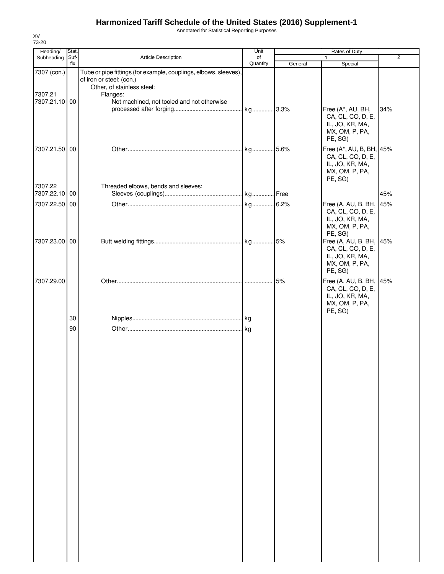Annotated for Statistical Reporting Purposes

| Heading/               | Stat.       |                                                                                                                                        | Unit           |         | Rates of Duty                                                                                            |                |
|------------------------|-------------|----------------------------------------------------------------------------------------------------------------------------------------|----------------|---------|----------------------------------------------------------------------------------------------------------|----------------|
| Subheading             | Suf-<br>fix | Article Description                                                                                                                    | of<br>Quantity | General | Special                                                                                                  | $\overline{2}$ |
| 7307 (con.)<br>7307.21 |             | Tube or pipe fittings (for example, couplings, elbows, sleeves),<br>of iron or steel: (con.)<br>Other, of stainless steel:<br>Flanges: |                |         |                                                                                                          |                |
| 7307.21.10 00          |             | Not machined, not tooled and not otherwise                                                                                             |                |         | Free (A*, AU, BH,<br>CA, CL, CO, D, E,<br>IL, JO, KR, MA,<br>MX, OM, P, PA,                              | 34%            |
| 7307.21.50 00          |             |                                                                                                                                        | kg 5.6%        |         | PE, SG)<br>Free (A*, AU, B, BH, 45%<br>CA, CL, CO, D, E,<br>IL, JO, KR, MA,<br>MX, OM, P, PA,<br>PE, SG) |                |
| 7307.22                |             | Threaded elbows, bends and sleeves:                                                                                                    |                |         |                                                                                                          |                |
| 7307.22.10 00          |             |                                                                                                                                        |                |         |                                                                                                          | 45%            |
| 7307.22.50 00          |             |                                                                                                                                        |                |         | Free (A, AU, B, BH,<br>CA, CL, CO, D, E,<br>IL, JO, KR, MA,<br>MX, OM, P, PA,<br>PE, SG)                 | 45%            |
| 7307.23.00 00          |             |                                                                                                                                        |                |         | Free (A, AU, B, BH, 45%<br>CA, CL, CO, D, E,<br>IL, JO, KR, MA,<br>MX, OM, P, PA,<br>PE, SG)             |                |
| 7307.29.00             |             |                                                                                                                                        |                | 5%      | Free (A, AU, B, BH, 45%<br>CA, CL, CO, D, E,<br>IL, JO, KR, MA,<br>MX, OM, P, PA,<br>PE, SG)             |                |
|                        | 30<br>90    |                                                                                                                                        |                |         |                                                                                                          |                |
|                        |             |                                                                                                                                        |                |         |                                                                                                          |                |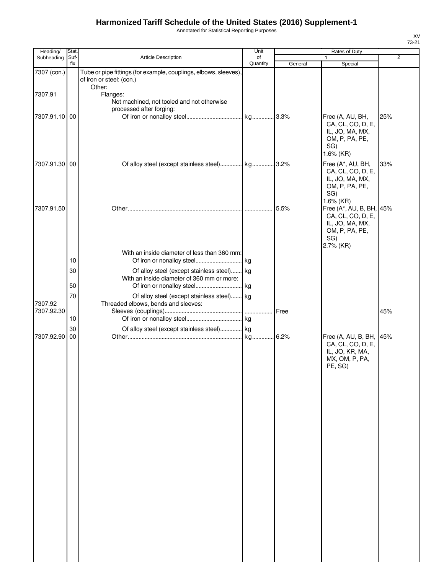Annotated for Statistical Reporting Purposes

| Heading/      | Stat.       |                                                                                              | Unit           |         | Rates of Duty                                                                                          |                |
|---------------|-------------|----------------------------------------------------------------------------------------------|----------------|---------|--------------------------------------------------------------------------------------------------------|----------------|
| Subheading    | Suf-<br>fix | Article Description                                                                          | of<br>Quantity | General | $\mathbf{1}$<br>Special                                                                                | $\overline{2}$ |
| 7307 (con.)   |             | Tube or pipe fittings (for example, couplings, elbows, sleeves),<br>of iron or steel: (con.) |                |         |                                                                                                        |                |
| 7307.91       |             | Other:<br>Flanges:<br>Not machined, not tooled and not otherwise<br>processed after forging: |                |         |                                                                                                        |                |
| 7307.91.10 00 |             |                                                                                              |                |         | Free (A, AU, BH,<br>CA, CL, CO, D, E,<br>IL, JO, MA, MX,<br>OM, P, PA, PE,<br>SG)<br>1.6% (KR)         | 25%            |
| 7307.91.30 00 |             | Of alloy steel (except stainless steel) kg 3.2%                                              |                |         | Free (A*, AU, BH,<br>CA, CL, CO, D, E,<br>IL, JO, MA, MX,<br>OM, P, PA, PE,<br>SG)<br>1.6% (KR)        | 33%            |
| 7307.91.50    |             |                                                                                              |                | 5.5%    | Free (A*, AU, B, BH, 45%<br>CA, CL, CO, D, E,<br>IL, JO, MA, MX,<br>OM, P, PA, PE,<br>SG)<br>2.7% (KR) |                |
|               | 10          | With an inside diameter of less than 360 mm:                                                 |                |         |                                                                                                        |                |
|               | 30<br>50    | Of alloy steel (except stainless steel) kg<br>With an inside diameter of 360 mm or more:     |                |         |                                                                                                        |                |
| 7307.92       | 70          | Of alloy steel (except stainless steel) kg<br>Threaded elbows, bends and sleeves:            |                |         |                                                                                                        |                |
| 7307.92.30    | 10          |                                                                                              |                | Free    |                                                                                                        | 45%            |
| 7307.92.90 00 | 30          | Of alloy steel (except stainless steel) kg                                                   |                |         | Free (A, AU, B, BH,<br>CA, CL, CO, D, E,<br>IL, JO, KR, MA,<br>MX, OM, P, PA,<br>PE, SG)               | 45%            |
|               |             |                                                                                              |                |         |                                                                                                        |                |
|               |             |                                                                                              |                |         |                                                                                                        |                |
|               |             |                                                                                              |                |         |                                                                                                        |                |
|               |             |                                                                                              |                |         |                                                                                                        |                |
|               |             |                                                                                              |                |         |                                                                                                        |                |
|               |             |                                                                                              |                |         |                                                                                                        |                |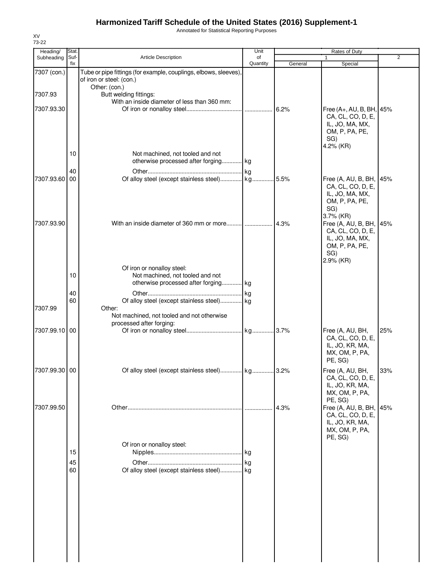Annotated for Statistical Reporting Purposes

| Heading/      | Stat.       |                                                                                                        | Unit           |         | Rates of Duty                                                                                                      |                |
|---------------|-------------|--------------------------------------------------------------------------------------------------------|----------------|---------|--------------------------------------------------------------------------------------------------------------------|----------------|
| Subheading    | Suf-<br>fix | Article Description                                                                                    | of<br>Quantity | General | $\mathbf{1}$<br>Special                                                                                            | $\overline{2}$ |
| 7307 (con.)   |             | Tube or pipe fittings (for example, couplings, elbows, sleeves),<br>of iron or steel: (con.)           |                |         |                                                                                                                    |                |
| 7307.93       |             | Other: (con.)<br>Butt welding fittings:<br>With an inside diameter of less than 360 mm:                |                |         |                                                                                                                    |                |
| 7307.93.30    |             |                                                                                                        |                |         | Free (A+, AU, B, BH, 45%<br>CA, CL, CO, D, E,<br>IL, JO, MA, MX,<br>OM, P, PA, PE,<br>SG)<br>4.2% (KR)             |                |
|               | 10          | Not machined, not tooled and not<br>otherwise processed after forging kg                               |                |         |                                                                                                                    |                |
| 7307.93.60    | 40<br>00    | Of alloy steel (except stainless steel) kg 5.5%                                                        |                |         | Free (A, AU, B, BH, 45%<br>CA, CL, CO, D, E,<br>IL, JO, MA, MX,<br>OM, P, PA, PE,<br>SG)                           |                |
| 7307.93.90    |             |                                                                                                        |                |         | 3.7% (KR)<br>Free (A, AU, B, BH, 45%<br>CA, CL, CO, D, E,<br>IL, JO, MA, MX,<br>OM, P, PA, PE,<br>SG)<br>2.9% (KR) |                |
|               | 10          | Of iron or nonalloy steel:<br>Not machined, not tooled and not<br>otherwise processed after forging kg |                |         |                                                                                                                    |                |
| 7307.99       | 40<br>60    | Of alloy steel (except stainless steel) kg<br>Other:                                                   | kg             |         |                                                                                                                    |                |
|               |             | Not machined, not tooled and not otherwise<br>processed after forging:                                 |                |         |                                                                                                                    |                |
| 7307.99.10 00 |             |                                                                                                        |                |         | Free (A, AU, BH,<br>CA, CL, CO, D, E,<br>IL, JO, KR, MA,<br>MX, OM, P, PA,<br>PE, SG)                              | 25%            |
| 7307.99.30 00 |             | Of alloy steel (except stainless steel)                                                                | kg             | 3.2%    | Free (A, AU, BH,<br>CA, CL, CO, D, E,<br>IL, JO, KR, MA,<br>MX, OM, P, PA,                                         | 33%            |
| 7307.99.50    |             |                                                                                                        |                | 4.3%    | PE, SG)<br>Free (A, AU, B, BH, 45%<br>CA, CL, CO, D, E,<br>IL, JO, KR, MA,<br>MX, OM, P, PA,<br>PE, SG)            |                |
|               | 15          | Of iron or nonalloy steel:                                                                             |                |         |                                                                                                                    |                |
|               | 45          |                                                                                                        |                |         |                                                                                                                    |                |
|               | 60          | Of alloy steel (except stainless steel) kg                                                             |                |         |                                                                                                                    |                |
|               |             |                                                                                                        |                |         |                                                                                                                    |                |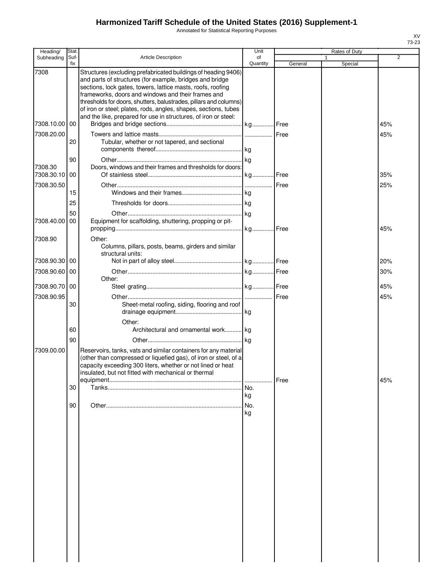Annotated for Statistical Reporting Purposes

| Heading/      | Stat.       |                                                                                                                            | Unit           |         | Rates of Duty |                |
|---------------|-------------|----------------------------------------------------------------------------------------------------------------------------|----------------|---------|---------------|----------------|
| Subheading    | Suf-<br>fix | <b>Article Description</b>                                                                                                 | of<br>Quantity |         |               | $\overline{2}$ |
| 7308          |             |                                                                                                                            |                | General | Special       |                |
|               |             | Structures (excluding prefabricated buildings of heading 9406)<br>and parts of structures (for example, bridges and bridge |                |         |               |                |
|               |             | sections, lock gates, towers, lattice masts, roofs, roofing                                                                |                |         |               |                |
|               |             | frameworks, doors and windows and their frames and                                                                         |                |         |               |                |
|               |             | thresholds for doors, shutters, balustrades, pillars and columns)                                                          |                |         |               |                |
|               |             | of iron or steel; plates, rods, angles, shapes, sections, tubes                                                            |                |         |               |                |
|               |             | and the like, prepared for use in structures, of iron or steel:                                                            |                |         |               |                |
| 7308.10.00 00 |             |                                                                                                                            |                |         |               | 45%            |
| 7308.20.00    |             |                                                                                                                            |                |         |               | 45%            |
|               | 20          | Tubular, whether or not tapered, and sectional                                                                             |                |         |               |                |
|               |             |                                                                                                                            |                |         |               |                |
|               | 90          |                                                                                                                            |                |         |               |                |
| 7308.30       |             | Doors, windows and their frames and thresholds for doors:                                                                  |                |         |               |                |
| 7308.30.10 00 |             |                                                                                                                            |                |         |               | 35%            |
| 7308.30.50    |             |                                                                                                                            |                | Free    |               | 25%            |
|               | 15          |                                                                                                                            |                |         |               |                |
|               | 25          |                                                                                                                            |                |         |               |                |
|               |             |                                                                                                                            |                |         |               |                |
| 7308.40.00    | 50<br>00    | Equipment for scaffolding, shuttering, propping or pit-                                                                    |                |         |               |                |
|               |             |                                                                                                                            |                |         |               | 45%            |
|               |             |                                                                                                                            |                |         |               |                |
| 7308.90       |             | Other:                                                                                                                     |                |         |               |                |
|               |             | Columns, pillars, posts, beams, girders and similar<br>structural units:                                                   |                |         |               |                |
| 7308.90.30 00 |             |                                                                                                                            |                |         |               | 20%            |
|               |             |                                                                                                                            |                |         |               |                |
| 7308.90.60    | 00          |                                                                                                                            |                |         |               | 30%            |
| 7308.90.70 00 |             | Other:                                                                                                                     |                |         |               | 45%            |
|               |             |                                                                                                                            |                |         |               |                |
| 7308.90.95    |             |                                                                                                                            |                |         |               | 45%            |
|               | 30          | Sheet-metal roofing, siding, flooring and roof                                                                             |                |         |               |                |
|               |             |                                                                                                                            |                |         |               |                |
|               | 60          | Other:                                                                                                                     |                |         |               |                |
|               |             | Architectural and ornamental work kg                                                                                       |                |         |               |                |
|               | 90          |                                                                                                                            |                |         |               |                |
| 7309.00.00    |             | Reservoirs, tanks, vats and similar containers for any material                                                            |                |         |               |                |
|               |             | (other than compressed or liquefied gas), of iron or steel, of a                                                           |                |         |               |                |
|               |             | capacity exceeding 300 liters, whether or not lined or heat                                                                |                |         |               |                |
|               |             | insulated, but not fitted with mechanical or thermal                                                                       |                |         |               |                |
|               | 30          |                                                                                                                            | No.            | Free    |               | 45%            |
|               |             |                                                                                                                            | kg             |         |               |                |
|               |             |                                                                                                                            |                |         |               |                |
|               | 90          |                                                                                                                            | No.            |         |               |                |
|               |             |                                                                                                                            | kg             |         |               |                |
|               |             |                                                                                                                            |                |         |               |                |
|               |             |                                                                                                                            |                |         |               |                |
|               |             |                                                                                                                            |                |         |               |                |
|               |             |                                                                                                                            |                |         |               |                |
|               |             |                                                                                                                            |                |         |               |                |
|               |             |                                                                                                                            |                |         |               |                |
|               |             |                                                                                                                            |                |         |               |                |
|               |             |                                                                                                                            |                |         |               |                |
|               |             |                                                                                                                            |                |         |               |                |
|               |             |                                                                                                                            |                |         |               |                |
|               |             |                                                                                                                            |                |         |               |                |
|               |             |                                                                                                                            |                |         |               |                |
|               |             |                                                                                                                            |                |         |               |                |
|               |             |                                                                                                                            |                |         |               |                |
|               |             |                                                                                                                            |                |         |               |                |
|               |             |                                                                                                                            |                |         |               |                |
|               |             |                                                                                                                            |                |         |               |                |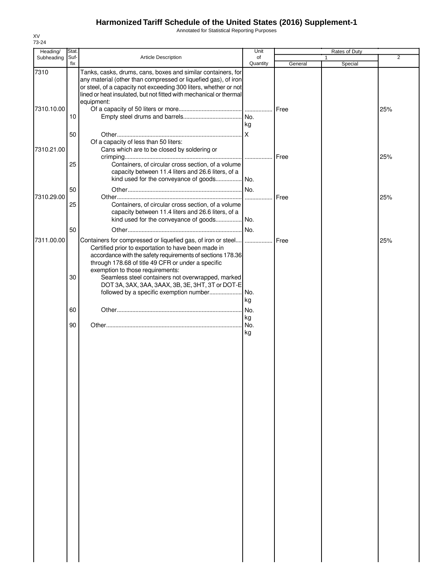Annotated for Statistical Reporting Purposes

| Heading/           | Stat.       |                                                                                                                                                                                                                                                                                        | Unit           |               | Rates of Duty |                |
|--------------------|-------------|----------------------------------------------------------------------------------------------------------------------------------------------------------------------------------------------------------------------------------------------------------------------------------------|----------------|---------------|---------------|----------------|
| Subheading         | Suf-<br>fix | Article Description                                                                                                                                                                                                                                                                    | of<br>Quantity | General       | 1<br>Special  | $\overline{2}$ |
| 7310<br>7310.10.00 | 10          | Tanks, casks, drums, cans, boxes and similar containers, for<br>any material (other than compressed or liquefied gas), of iron<br>or steel, of a capacity not exceeding 300 liters, whether or not<br>lined or heat insulated, but not fitted with mechanical or thermal<br>equipment: | kg             | <b>Free</b>   |               | 25%            |
| 7310.21.00         | 50          | Of a capacity of less than 50 liters:<br>Cans which are to be closed by soldering or                                                                                                                                                                                                   | Ιx             | <b>I</b> Free |               | 25%            |
|                    | 25<br>50    | Containers, of circular cross section, of a volume<br>capacity between 11.4 liters and 26.6 liters, of a                                                                                                                                                                               |                |               |               |                |
| 7310.29.00         | 25          | Containers, of circular cross section, of a volume<br>capacity between 11.4 liters and 26.6 liters, of a                                                                                                                                                                               |                | Free          |               | 25%            |
| 7311.00.00         | 50          | Containers for compressed or liquefied gas, of iron or steel  <br>Certified prior to exportation to have been made in<br>accordance with the safety requirements of sections 178.36                                                                                                    | No.            | Free          |               | 25%            |
|                    | 30          | through 178.68 of title 49 CFR or under a specific<br>exemption to those requirements:<br>Seamless steel containers not overwrapped, marked<br>DOT 3A, 3AX, 3AA, 3AAX, 3B, 3E, 3HT, 3T or DOT-E                                                                                        | kg             |               |               |                |
|                    | 60          |                                                                                                                                                                                                                                                                                        | No.<br>kg      |               |               |                |
|                    | 90          |                                                                                                                                                                                                                                                                                        | INo.<br>kg     |               |               |                |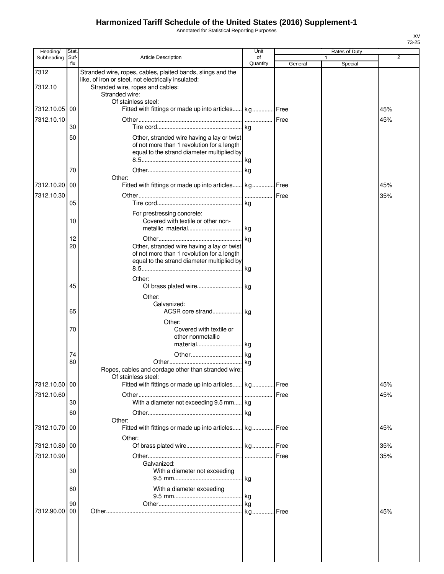Annotated for Statistical Reporting Purposes

| Heading/        | Stat.       |                                                                                                                                                                          | Unit           |         | Rates of Duty |                |
|-----------------|-------------|--------------------------------------------------------------------------------------------------------------------------------------------------------------------------|----------------|---------|---------------|----------------|
| Subheading      | Suf-<br>fix | <b>Article Description</b>                                                                                                                                               | of<br>Quantity | General | 1<br>Special  | $\overline{2}$ |
| 7312<br>7312.10 |             | Stranded wire, ropes, cables, plaited bands, slings and the<br>like, of iron or steel, not electrically insulated:<br>Stranded wire, ropes and cables:<br>Stranded wire: |                |         |               |                |
| 7312.10.05      | 00          | Of stainless steel:<br>Fitted with fittings or made up into articles kg Free                                                                                             |                |         |               | 45%            |
| 7312.10.10      | 30          |                                                                                                                                                                          |                | Free    |               | 45%            |
|                 | 50          | Other, stranded wire having a lay or twist<br>of not more than 1 revolution for a length<br>equal to the strand diameter multiplied by                                   |                |         |               |                |
|                 | 70          | Other:                                                                                                                                                                   |                |         |               |                |
| 7312.10.20      | 00          | Fitted with fittings or made up into articles kg Free                                                                                                                    |                |         |               | 45%            |
| 7312.10.30      | 05          |                                                                                                                                                                          | .              | Free    |               | 35%            |
|                 | 10          | For prestressing concrete:<br>Covered with textile or other non-                                                                                                         |                |         |               |                |
|                 | 12<br>20    | Other, stranded wire having a lay or twist<br>of not more than 1 revolution for a length<br>equal to the strand diameter multiplied by                                   | kg             |         |               |                |
|                 |             | Other:                                                                                                                                                                   |                |         |               |                |
|                 | 45          |                                                                                                                                                                          |                |         |               |                |
|                 | 65          | Other:<br>Galvanized:                                                                                                                                                    |                |         |               |                |
|                 | 70          | Other:<br>Covered with textile or<br>other nonmetallic<br>material kg                                                                                                    |                |         |               |                |
|                 | 74<br>80    | Ropes, cables and cordage other than stranded wire:<br>Of stainless steel:                                                                                               |                |         |               |                |
| 7312.10.50 00   |             | Fitted with fittings or made up into articles kg Free                                                                                                                    |                |         |               | 45%            |
| 7312.10.60      | 30<br>60    | With a diameter not exceeding 9.5 mm kg                                                                                                                                  |                |         |               | 45%            |
| 7312.10.70      | 00          | Other:<br>Fitted with fittings or made up into articles kg Free                                                                                                          |                |         |               | 45%            |
| 7312.10.80 00   |             | Other:                                                                                                                                                                   |                |         |               | 35%            |
| 7312.10.90      | 30          | Galvanized:<br>With a diameter not exceeding                                                                                                                             |                | Free    |               | 35%            |
|                 | 60          | With a diameter exceeding                                                                                                                                                |                |         |               |                |
|                 | 90          |                                                                                                                                                                          |                |         |               |                |
| 7312.90.00      | 00          |                                                                                                                                                                          |                | Free    |               | 45%            |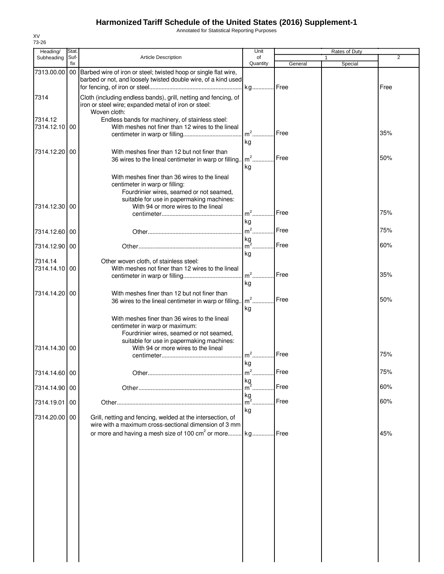Annotated for Statistical Reporting Purposes

| Heading/                 | Stat.  |                                                                                                                                                                                                                 | Unit                |         | Rates of Duty |      |
|--------------------------|--------|-----------------------------------------------------------------------------------------------------------------------------------------------------------------------------------------------------------------|---------------------|---------|---------------|------|
| Subheading               | Suf-   | Article Description                                                                                                                                                                                             | of                  |         | 1             | 2    |
| 7313.00.00               | fix    | 00 Barbed wire of iron or steel; twisted hoop or single flat wire,<br>barbed or not, and loosely twisted double wire, of a kind used                                                                            | Quantity<br>kg Free | General | Special       | Free |
| 7314                     |        | Cloth (including endless bands), grill, netting and fencing, of<br>iron or steel wire; expanded metal of iron or steel:<br>Woven cloth:                                                                         |                     |         |               |      |
| 7314.12<br>7314.12.10    | 00     | Endless bands for machinery, of stainless steel:<br>With meshes not finer than 12 wires to the lineal                                                                                                           | $m2$ .              | Free    |               | 35%  |
| 7314.12.20               | 00     | With meshes finer than 12 but not finer than<br>36 wires to the lineal centimeter in warp or filling.                                                                                                           | kg<br>$m2$          | Free    |               | 50%  |
| 7314.12.30               | 00     | With meshes finer than 36 wires to the lineal<br>centimeter in warp or filling:<br>Fourdrinier wires, seamed or not seamed,<br>suitable for use in papermaking machines:<br>With 94 or more wires to the lineal | kg<br>$m2$          | Free    |               | 75%  |
|                          |        |                                                                                                                                                                                                                 | kg                  |         |               |      |
| 7314.12.60               | 00     |                                                                                                                                                                                                                 | $m^2$<br>kg         | Free    |               | 75%  |
| 7314.12.90 00            |        |                                                                                                                                                                                                                 | $m^2$<br>kg         | Free    |               | 60%  |
| 7314.14<br>7314.14.10 00 |        | Other woven cloth, of stainless steel:<br>With meshes not finer than 12 wires to the lineal                                                                                                                     | $m2$ .<br>kg        | Free    |               | 35%  |
| 7314.14.20               | $00\,$ | With meshes finer than 12 but not finer than<br>36 wires to the lineal centimeter in warp or filling.                                                                                                           | $m2$ .<br>kg        | Free    |               | 50%  |
| 7314.14.30               | 00     | With meshes finer than 36 wires to the lineal<br>centimeter in warp or maximum:<br>Fourdrinier wires, seamed or not seamed,<br>suitable for use in papermaking machines:<br>With 94 or more wires to the lineal | $m2$ .<br>kg        | Free    |               | 75%  |
| 7314.14.60 00            |        |                                                                                                                                                                                                                 | m                   | Free    |               | 75%  |
| 7314.14.90 00            |        |                                                                                                                                                                                                                 | kg<br>m<br>kg       | Free    |               | 60%  |
| 7314.19.01               | 00     |                                                                                                                                                                                                                 | $m2$ .              | Free    |               | 60%  |
| 7314.20.00 00            |        | Grill, netting and fencing, welded at the intersection, of<br>wire with a maximum cross-sectional dimension of 3 mm<br>or more and having a mesh size of 100 cm <sup>2</sup> or more                            | kg<br>kg            | l Free  |               | 45%  |
|                          |        |                                                                                                                                                                                                                 |                     |         |               |      |
|                          |        |                                                                                                                                                                                                                 |                     |         |               |      |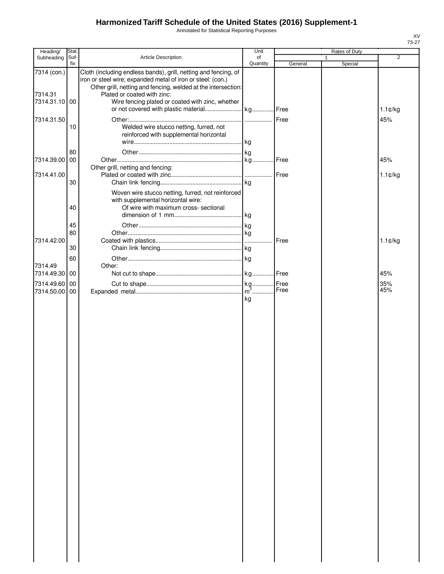Annotated for Statistical Reporting Purposes

|                          |               |                                                                                              | Unit     |         |               |                   |
|--------------------------|---------------|----------------------------------------------------------------------------------------------|----------|---------|---------------|-------------------|
| Heading/<br>Subheading   | Stat.<br>Suf- | Article Description                                                                          | of       |         | Rates of Duty | 2                 |
| 7314 (con.)              | fix           | Cloth (including endless bands), grill, netting and fencing, of                              | Quantity | General | Special       |                   |
|                          |               | iron or steel wire; expanded metal of iron or steel: (con.)                                  |          |         |               |                   |
| 7314.31                  |               | Other grill, netting and fencing, welded at the intersection:<br>Plated or coated with zinc: |          |         |               |                   |
| 7314.31.10 00            |               | Wire fencing plated or coated with zinc, whether                                             |          |         |               |                   |
|                          |               |                                                                                              |          |         |               | $1.1 \text{C/kg}$ |
| 7314.31.50               |               |                                                                                              |          |         |               | 45%               |
|                          | 10            | Welded wire stucco netting, furred, not                                                      |          |         |               |                   |
|                          |               | reinforced with supplemental horizontal                                                      | kg       |         |               |                   |
|                          | 80            |                                                                                              |          |         |               |                   |
| 7314.39.00               | 00            |                                                                                              |          |         |               | 45%               |
|                          |               | Other grill, netting and fencing:                                                            |          |         |               |                   |
| 7314.41.00               | 30            |                                                                                              |          |         |               | 1.1¢/kg           |
|                          |               | Woven wire stucco netting, furred, not reinforced                                            |          |         |               |                   |
|                          |               | with supplemental horizontal wire:                                                           |          |         |               |                   |
|                          | 40            | Of wire with maximum cross- sectional                                                        |          |         |               |                   |
|                          |               |                                                                                              |          |         |               |                   |
|                          | 45<br>80      |                                                                                              |          |         |               |                   |
| 7314.42.00               |               |                                                                                              |          | Free    |               | $1.1 \text{C/kg}$ |
|                          | 30            |                                                                                              |          |         |               |                   |
|                          | 60            |                                                                                              |          |         |               |                   |
| 7314.49<br>7314.49.30 00 |               | Other:                                                                                       |          |         |               | 45%               |
| 7314.49.60               | 00            |                                                                                              |          |         |               | 35%               |
| 7314.50.00               | 00            |                                                                                              |          | Free    |               | 45%               |
|                          |               |                                                                                              | kg       |         |               |                   |
|                          |               |                                                                                              |          |         |               |                   |
|                          |               |                                                                                              |          |         |               |                   |
|                          |               |                                                                                              |          |         |               |                   |
|                          |               |                                                                                              |          |         |               |                   |
|                          |               |                                                                                              |          |         |               |                   |
|                          |               |                                                                                              |          |         |               |                   |
|                          |               |                                                                                              |          |         |               |                   |
|                          |               |                                                                                              |          |         |               |                   |
|                          |               |                                                                                              |          |         |               |                   |
|                          |               |                                                                                              |          |         |               |                   |
|                          |               |                                                                                              |          |         |               |                   |
|                          |               |                                                                                              |          |         |               |                   |
|                          |               |                                                                                              |          |         |               |                   |
|                          |               |                                                                                              |          |         |               |                   |
|                          |               |                                                                                              |          |         |               |                   |
|                          |               |                                                                                              |          |         |               |                   |
|                          |               |                                                                                              |          |         |               |                   |
|                          |               |                                                                                              |          |         |               |                   |
|                          |               |                                                                                              |          |         |               |                   |
|                          |               |                                                                                              |          |         |               |                   |
|                          |               |                                                                                              |          |         |               |                   |
|                          |               |                                                                                              |          |         |               |                   |
|                          |               |                                                                                              |          |         |               |                   |
|                          |               |                                                                                              |          |         |               |                   |
|                          |               |                                                                                              |          |         |               |                   |
|                          |               |                                                                                              |          |         |               |                   |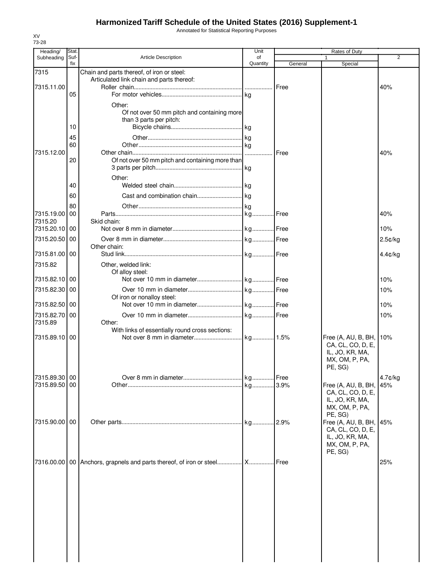Annotated for Statistical Reporting Purposes

| Subheading<br>7315    | Stat<br>Suf- |                                                                                         | Unit           |         | Rates of Duty                                                                                 | 2          |
|-----------------------|--------------|-----------------------------------------------------------------------------------------|----------------|---------|-----------------------------------------------------------------------------------------------|------------|
|                       | fix          | <b>Article Description</b>                                                              | of<br>Quantity | General | 1<br>Special                                                                                  |            |
|                       |              | Chain and parts thereof, of iron or steel:<br>Articulated link chain and parts thereof: |                |         |                                                                                               |            |
| 7315.11.00            | 05           |                                                                                         |                | Free    |                                                                                               | 40%        |
|                       |              | Other:                                                                                  |                |         |                                                                                               |            |
|                       |              | Of not over 50 mm pitch and containing more<br>than 3 parts per pitch:                  |                |         |                                                                                               |            |
|                       | 10           |                                                                                         |                |         |                                                                                               |            |
|                       | 45<br>60     |                                                                                         |                |         |                                                                                               |            |
| 7315.12.00            | 20           | Of not over 50 mm pitch and containing more than                                        |                | Free    |                                                                                               | 40%        |
|                       |              | Other:                                                                                  |                |         |                                                                                               |            |
|                       | 40<br>60     |                                                                                         |                |         |                                                                                               |            |
|                       | 80           |                                                                                         |                |         |                                                                                               |            |
| 7315.19.00<br>7315.20 | 00           | Skid chain:                                                                             |                |         |                                                                                               | 40%        |
| 7315.20.10            | 00           |                                                                                         |                |         |                                                                                               | 10%        |
| 7315.20.50            | 00           | Other chain:                                                                            |                |         |                                                                                               | $2.5$ ¢/kg |
| 7315.81.00 00         |              |                                                                                         |                |         |                                                                                               | $4.4$ c/kg |
| 7315.82               |              | Other, welded link:<br>Of alloy steel:                                                  |                |         |                                                                                               |            |
| 7315.82.10 00         |              |                                                                                         |                |         |                                                                                               | 10%        |
| 7315.82.30            | 00           | Of iron or nonalloy steel:                                                              |                |         |                                                                                               | 10%        |
| 7315.82.50            | 00           |                                                                                         |                |         |                                                                                               | 10%        |
| 7315.82.70<br>7315.89 | 00           | Other:                                                                                  |                |         |                                                                                               | 10%        |
| 7315.89.10 00         |              | With links of essentially round cross sections:                                         |                |         | Free (A, AU, B, BH,<br>CA, CL, CO, D, E,<br>IL, JO, KR, MA,<br>MX, OM, P, PA,<br>PE, SG)      | 10%        |
| 7315.89.30 00         |              |                                                                                         |                |         |                                                                                               | $4.7$ ¢/kg |
| 7315.89.50            | 00           |                                                                                         |                | 3.9%    | Free (A, AU, B, BH,<br>CA, CL, CO, D, E,<br>IL, JO, KR, MA,<br>MX, OM, P, PA,<br>PE, SG)      | <b>45%</b> |
| 7315.90.00 00         |              |                                                                                         |                | 2.9%    | Free (A, AU, B, BH, 145%<br>CA, CL, CO, D, E,<br>IL, JO, KR, MA,<br>MX, OM, P, PA,<br>PE, SG) |            |
|                       |              |                                                                                         |                |         |                                                                                               |            |

XV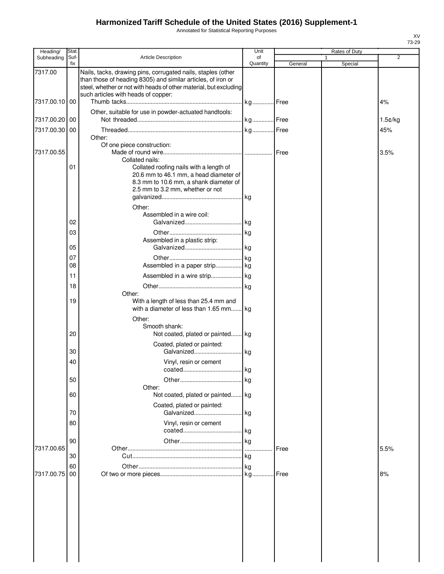Annotated for Statistical Reporting Purposes

| Heading/      | Stat.       |                                                                                                                                                                                                                                          | Unit           |         |              | Rates of Duty |         |
|---------------|-------------|------------------------------------------------------------------------------------------------------------------------------------------------------------------------------------------------------------------------------------------|----------------|---------|--------------|---------------|---------|
| Subheading    | Suf-<br>fix | <b>Article Description</b>                                                                                                                                                                                                               | of<br>Quantity | General | $\mathbf{1}$ | Special       | 2       |
| 7317.00       |             | Nails, tacks, drawing pins, corrugated nails, staples (other<br>than those of heading 8305) and similar articles, of iron or<br>steel, whether or not with heads of other material, but excluding<br>such articles with heads of copper: |                |         |              |               |         |
| 7317.00.10 00 |             |                                                                                                                                                                                                                                          |                |         |              |               | 4%      |
| 7317.00.20 00 |             | Other, suitable for use in powder-actuated handtools:                                                                                                                                                                                    |                |         |              |               | 1.5¢/kg |
| 7317.00.30 00 |             |                                                                                                                                                                                                                                          |                |         |              |               | 45%     |
| 7317.00.55    |             | Other:<br>Of one piece construction:<br>Collated nails:                                                                                                                                                                                  |                |         |              |               | 3.5%    |
|               | 01          | Collated roofing nails with a length of<br>20.6 mm to 46.1 mm, a head diameter of<br>8.3 mm to 10.6 mm, a shank diameter of<br>2.5 mm to 3.2 mm, whether or not<br>Other:                                                                |                |         |              |               |         |
|               |             | Assembled in a wire coil:                                                                                                                                                                                                                |                |         |              |               |         |
|               | 02          |                                                                                                                                                                                                                                          |                |         |              |               |         |
|               | 03<br>05    | Assembled in a plastic strip:                                                                                                                                                                                                            |                |         |              |               |         |
|               | 07          |                                                                                                                                                                                                                                          |                |         |              |               |         |
|               | 08          |                                                                                                                                                                                                                                          |                |         |              |               |         |
|               | 11<br>18    |                                                                                                                                                                                                                                          |                |         |              |               |         |
|               |             | Other:                                                                                                                                                                                                                                   |                |         |              |               |         |
|               | 19          | With a length of less than 25.4 mm and<br>with a diameter of less than 1.65 mm                                                                                                                                                           | kg             |         |              |               |         |
|               | 20          | Other:<br>Smooth shank:<br>Not coated, plated or painted kg                                                                                                                                                                              |                |         |              |               |         |
|               | 30          | Coated, plated or painted:                                                                                                                                                                                                               |                |         |              |               |         |
|               | 40          | Vinyl, resin or cement                                                                                                                                                                                                                   | kg             |         |              |               |         |
|               | 50          |                                                                                                                                                                                                                                          | ka             |         |              |               |         |
|               | 60          | Other:<br>Not coated, plated or painted                                                                                                                                                                                                  | kg             |         |              |               |         |
|               | 70          | Coated, plated or painted:<br>Galvanized                                                                                                                                                                                                 | kg             |         |              |               |         |
|               | 80          | Vinyl, resin or cement                                                                                                                                                                                                                   |                |         |              |               |         |
|               | 90          |                                                                                                                                                                                                                                          | kg             |         |              |               |         |
| 7317.00.65    |             |                                                                                                                                                                                                                                          |                | Free    |              |               | 5.5%    |
|               | 30<br>60    |                                                                                                                                                                                                                                          |                |         |              |               |         |
| 7317.00.75    | 00          |                                                                                                                                                                                                                                          |                | Free    |              |               | 8%      |
|               |             |                                                                                                                                                                                                                                          |                |         |              |               |         |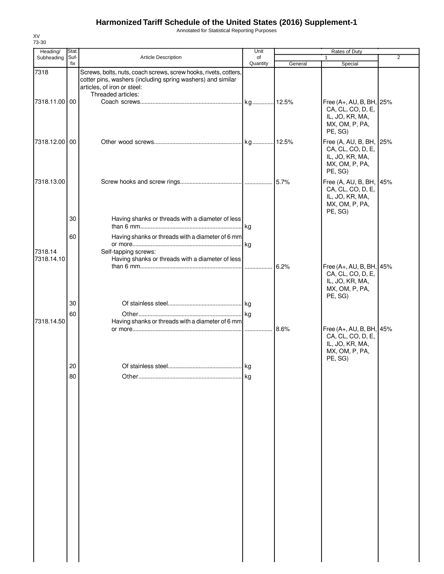Annotated for Statistical Reporting Purposes

| Heading/<br>Subheading | Stat.<br>Suf- | Article Description                                                                                                                                                                  | Unit<br>of |         | Rates of Duty<br>1                                                                            | $\overline{2}$ |
|------------------------|---------------|--------------------------------------------------------------------------------------------------------------------------------------------------------------------------------------|------------|---------|-----------------------------------------------------------------------------------------------|----------------|
|                        | fix           |                                                                                                                                                                                      | Quantity   | General | Special                                                                                       |                |
| 7318                   |               | Screws, bolts, nuts, coach screws, screw hooks, rivets, cotters,<br>cotter pins, washers (including spring washers) and similar<br>articles, of iron or steel:<br>Threaded articles: |            |         |                                                                                               |                |
| 7318.11.00 00          |               |                                                                                                                                                                                      |            |         | Free (A+, AU, B, BH, 25%<br>CA, CL, CO, D, E,<br>IL, JO, KR, MA,<br>MX, OM, P, PA,<br>PE, SG) |                |
| 7318.12.00 00          |               |                                                                                                                                                                                      |            |         | Free (A, AU, B, BH, 25%<br>CA, CL, CO, D, E,<br>IL, JO, KR, MA,<br>MX, OM, P, PA,<br>PE, SG)  |                |
| 7318.13.00             |               |                                                                                                                                                                                      |            |         | Free (A, AU, B, BH, 45%<br>CA, CL, CO, D, E,<br>IL, JO, KR, MA,<br>MX, OM, P, PA,<br>PE, SG)  |                |
|                        | 30            | Having shanks or threads with a diameter of less                                                                                                                                     |            |         |                                                                                               |                |
| 7318.14<br>7318.14.10  | 60            | Having shanks or threads with a diameter of 6 mm<br>Self-tapping screws:<br>Having shanks or threads with a diameter of less                                                         |            |         |                                                                                               |                |
|                        |               |                                                                                                                                                                                      |            | 6.2%    | Free (A+, AU, B, BH, 45%<br>CA, CL, CO, D, E,<br>IL, JO, KR, MA,<br>MX, OM, P, PA,<br>PE, SG) |                |
|                        | 30<br>60      |                                                                                                                                                                                      |            |         |                                                                                               |                |
| 7318.14.50             |               | Having shanks or threads with a diameter of 6 mm                                                                                                                                     |            | 8.6%    | Free (A+, AU, B, BH, 45%<br>CA, CL, CO, D, E,<br>IL, JO, KR, MA,<br>MX, OM, P, PA,            |                |
|                        | 20            |                                                                                                                                                                                      | kg         |         | PE, SG)                                                                                       |                |
|                        | 80            |                                                                                                                                                                                      | .lkg       |         |                                                                                               |                |
|                        |               |                                                                                                                                                                                      |            |         |                                                                                               |                |
|                        |               |                                                                                                                                                                                      |            |         |                                                                                               |                |
|                        |               |                                                                                                                                                                                      |            |         |                                                                                               |                |
|                        |               |                                                                                                                                                                                      |            |         |                                                                                               |                |
|                        |               |                                                                                                                                                                                      |            |         |                                                                                               |                |
|                        |               |                                                                                                                                                                                      |            |         |                                                                                               |                |

XV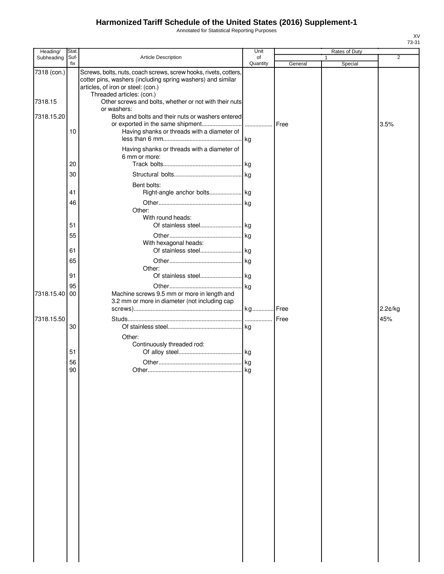Annotated for Statistical Reporting Purposes

| Heading/      | Stat.       |                                                                                                                                                                                                    | Unit           |         |   | Rates of Duty |                |
|---------------|-------------|----------------------------------------------------------------------------------------------------------------------------------------------------------------------------------------------------|----------------|---------|---|---------------|----------------|
| Subheading    | Suf-<br>fix | Article Description                                                                                                                                                                                | of<br>Quantity | General | 1 |               | $\overline{2}$ |
| 7318 (con.)   |             | Screws, bolts, nuts, coach screws, screw hooks, rivets, cotters,<br>cotter pins, washers (including spring washers) and similar<br>articles, of iron or steel: (con.)<br>Threaded articles: (con.) |                |         |   | Special       |                |
| 7318.15       |             | Other screws and bolts, whether or not with their nuts<br>or washers:                                                                                                                              |                |         |   |               |                |
| 7318.15.20    | 10          | Bolts and bolts and their nuts or washers entered<br>Having shanks or threads with a diameter of                                                                                                   |                |         |   |               | 3.5%           |
|               | 20          | Having shanks or threads with a diameter of<br>6 mm or more:                                                                                                                                       |                |         |   |               |                |
|               | 30          |                                                                                                                                                                                                    |                |         |   |               |                |
|               | 41          | Bent bolts:<br>Right-angle anchor bolts kg                                                                                                                                                         |                |         |   |               |                |
|               | 46          | Other:<br>With round heads:                                                                                                                                                                        |                |         |   |               |                |
|               | 51<br>55    |                                                                                                                                                                                                    |                |         |   |               |                |
|               | 61          | With hexagonal heads:                                                                                                                                                                              |                |         |   |               |                |
|               | 65          | Other:                                                                                                                                                                                             |                |         |   |               |                |
|               | 91          |                                                                                                                                                                                                    |                |         |   |               |                |
| 7318.15.40 00 | 95          | Machine screws 9.5 mm or more in length and<br>3.2 mm or more in diameter (not including cap                                                                                                       |                |         |   |               |                |
|               |             |                                                                                                                                                                                                    |                |         |   |               | 2.2¢/kg        |
| 7318.15.50    | 30          |                                                                                                                                                                                                    |                |         |   |               | 45%            |
|               |             | Other:<br>Continuously threaded rod:                                                                                                                                                               |                |         |   |               |                |
|               | 51          |                                                                                                                                                                                                    |                |         |   |               |                |
|               | 56          |                                                                                                                                                                                                    |                |         |   |               |                |
|               | 90          |                                                                                                                                                                                                    | .lkg           |         |   |               |                |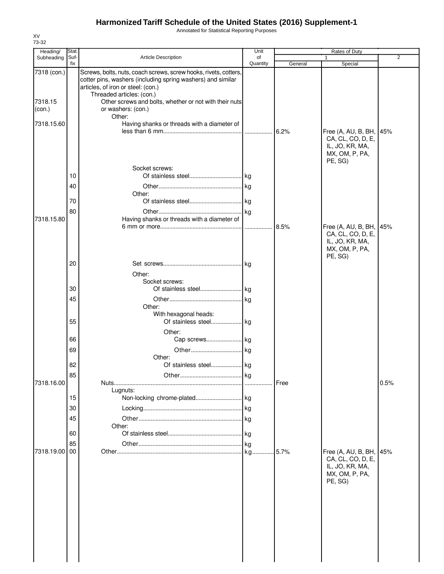Annotated for Statistical Reporting Purposes

| Heading/<br>Subheading | Stat.<br>Suf- | <b>Article Description</b>                                                                                                                                                                         | Unit<br>of |         | Rates of Duty<br>1                                                                           | $\overline{2}$ |
|------------------------|---------------|----------------------------------------------------------------------------------------------------------------------------------------------------------------------------------------------------|------------|---------|----------------------------------------------------------------------------------------------|----------------|
|                        | fix           |                                                                                                                                                                                                    | Quantity   | General | Special                                                                                      |                |
| 7318 (con.)            |               | Screws, bolts, nuts, coach screws, screw hooks, rivets, cotters,<br>cotter pins, washers (including spring washers) and similar<br>articles, of iron or steel: (con.)<br>Threaded articles: (con.) |            |         |                                                                                              |                |
| 7318.15<br>(con.)      |               | Other screws and bolts, whether or not with their nuts<br>or washers: (con.)<br>Other:                                                                                                             |            |         |                                                                                              |                |
| 7318.15.60             |               | Having shanks or threads with a diameter of                                                                                                                                                        |            | 6.2%    | Free (A, AU, B, BH, 45%<br>CA, CL, CO, D, E,<br>IL, JO, KR, MA,                              |                |
|                        |               | Socket screws:                                                                                                                                                                                     |            |         | MX, OM, P, PA,<br>PE, SG)                                                                    |                |
|                        | 10            |                                                                                                                                                                                                    |            |         |                                                                                              |                |
|                        | 40            |                                                                                                                                                                                                    |            |         |                                                                                              |                |
|                        | 70            | Other:                                                                                                                                                                                             |            |         |                                                                                              |                |
|                        | 80            |                                                                                                                                                                                                    |            |         |                                                                                              |                |
| 7318.15.80             |               | Having shanks or threads with a diameter of                                                                                                                                                        |            |         |                                                                                              |                |
|                        |               |                                                                                                                                                                                                    |            | 8.5%    | Free (A, AU, B, BH, 45%<br>CA, CL, CO, D, E,<br>IL, JO, KR, MA,<br>MX, OM, P, PA,<br>PE, SG) |                |
|                        | 20            |                                                                                                                                                                                                    |            |         |                                                                                              |                |
|                        |               | Other:                                                                                                                                                                                             |            |         |                                                                                              |                |
|                        |               | Socket screws:                                                                                                                                                                                     |            |         |                                                                                              |                |
|                        | 30            |                                                                                                                                                                                                    |            |         |                                                                                              |                |
|                        | 45            | Other:                                                                                                                                                                                             |            |         |                                                                                              |                |
|                        | 55            | With hexagonal heads:                                                                                                                                                                              |            |         |                                                                                              |                |
|                        |               | Other:                                                                                                                                                                                             |            |         |                                                                                              |                |
|                        | 66            | Cap screws kg                                                                                                                                                                                      |            |         |                                                                                              |                |
|                        | 69            | Other:                                                                                                                                                                                             |            |         |                                                                                              |                |
|                        | 82            | Of stainless steel                                                                                                                                                                                 | . kg       |         |                                                                                              |                |
|                        | 85            |                                                                                                                                                                                                    |            |         |                                                                                              |                |
| 7318.16.00             |               | Lugnuts:                                                                                                                                                                                           |            | Free    |                                                                                              | 0.5%           |
|                        | 15            |                                                                                                                                                                                                    |            |         |                                                                                              |                |
|                        | 30            |                                                                                                                                                                                                    |            |         |                                                                                              |                |
|                        | 45            |                                                                                                                                                                                                    |            |         |                                                                                              |                |
|                        |               | Other:                                                                                                                                                                                             |            |         |                                                                                              |                |
|                        | 60            |                                                                                                                                                                                                    |            |         |                                                                                              |                |
| 7318.19.00             | 85<br>00      |                                                                                                                                                                                                    |            | .5.7%   | Free (A, AU, B, BH,                                                                          | 45%            |
|                        |               |                                                                                                                                                                                                    |            |         | CA, CL, CO, D, E,<br>IL, JO, KR, MA,<br>MX, OM, P, PA,<br>PE, SG)                            |                |
|                        |               |                                                                                                                                                                                                    |            |         |                                                                                              |                |
|                        |               |                                                                                                                                                                                                    |            |         |                                                                                              |                |

XV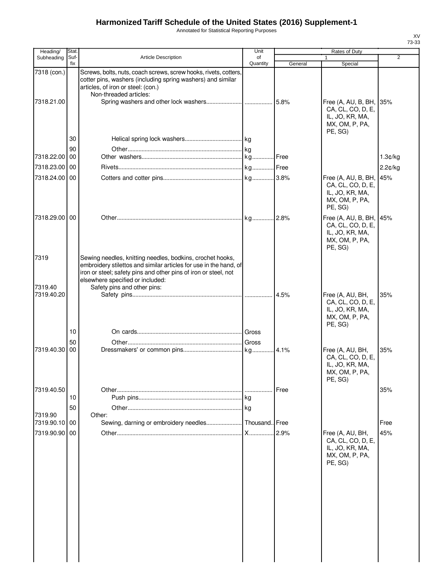Annotated for Statistical Reporting Purposes

| Heading/                  | Stat.       |                                                                                                                                                                                                                                       | Unit           |         | Rates of Duty                                                                            |         |
|---------------------------|-------------|---------------------------------------------------------------------------------------------------------------------------------------------------------------------------------------------------------------------------------------|----------------|---------|------------------------------------------------------------------------------------------|---------|
| Subheading                | Suf-<br>fix | <b>Article Description</b>                                                                                                                                                                                                            | of<br>Quantity | General | $\mathbf{1}$<br>Special                                                                  | 2       |
| 7318 (con.)<br>7318.21.00 |             | Screws, bolts, nuts, coach screws, screw hooks, rivets, cotters,<br>cotter pins, washers (including spring washers) and similar<br>articles, of iron or steel: (con.)<br>Non-threaded articles:                                       |                |         | Free (A, AU, B, BH, 35%<br>CA, CL, CO, D, E,<br>IL, JO, KR, MA,                          |         |
|                           |             |                                                                                                                                                                                                                                       |                |         | MX, OM, P, PA,<br>PE, SG)                                                                |         |
|                           | 30          |                                                                                                                                                                                                                                       |                |         |                                                                                          |         |
| 7318.22.00                | 90<br>00    |                                                                                                                                                                                                                                       |                |         |                                                                                          | 1.3¢/kg |
| 7318.23.00 00             |             |                                                                                                                                                                                                                                       |                |         |                                                                                          | 2.2¢/kg |
| 7318.24.00                | 00          |                                                                                                                                                                                                                                       |                |         | Free (A, AU, B, BH,                                                                      | 45%     |
|                           |             |                                                                                                                                                                                                                                       |                |         | CA, CL, CO, D, E,<br>IL, JO, KR, MA,<br>MX, OM, P, PA,<br>PE, SG)                        |         |
| 7318.29.00 00             |             |                                                                                                                                                                                                                                       |                |         | Free (A, AU, B, BH,<br>CA, CL, CO, D, E,<br>IL, JO, KR, MA,<br>MX, OM, P, PA,<br>PE, SG) | 45%     |
| 7319                      |             | Sewing needles, knitting needles, bodkins, crochet hooks,<br>embroidery stilettos and similar articles for use in the hand, of<br>iron or steel; safety pins and other pins of iron or steel, not<br>elsewhere specified or included: |                |         |                                                                                          |         |
| 7319.40<br>7319.40.20     |             | Safety pins and other pins:                                                                                                                                                                                                           |                | 4.5%    | Free (A, AU, BH,<br>CA, CL, CO, D, E,<br>IL, JO, KR, MA,<br>MX, OM, P, PA,<br>PE, SG)    | 35%     |
|                           | 10          |                                                                                                                                                                                                                                       | Gross          |         |                                                                                          |         |
|                           | 50          |                                                                                                                                                                                                                                       | Gross          |         |                                                                                          |         |
| 7319.40.30                | 00          |                                                                                                                                                                                                                                       |                |         | Free (A, AU, BH,<br>CA, CL, CO, D, E,<br>IL, JO, KR, MA,<br>MX, OM, P, PA,<br>PE, SG)    | 35%     |
| 7319.40.50                |             |                                                                                                                                                                                                                                       | .              | Free    |                                                                                          | 35%     |
|                           | 10          |                                                                                                                                                                                                                                       |                |         |                                                                                          |         |
| 7319.90                   | 50          | Other:                                                                                                                                                                                                                                | l kg           |         |                                                                                          |         |
| 7319.90.10                | 00          |                                                                                                                                                                                                                                       |                | Free    |                                                                                          | Free    |
| 7319.90.90 00             |             |                                                                                                                                                                                                                                       | X              | 2.9%    | Free (A, AU, BH,<br>CA, CL, CO, D, E,<br>IL, JO, KR, MA,<br>MX, OM, P, PA,<br>PE, SG)    | 45%     |
|                           |             |                                                                                                                                                                                                                                       |                |         |                                                                                          |         |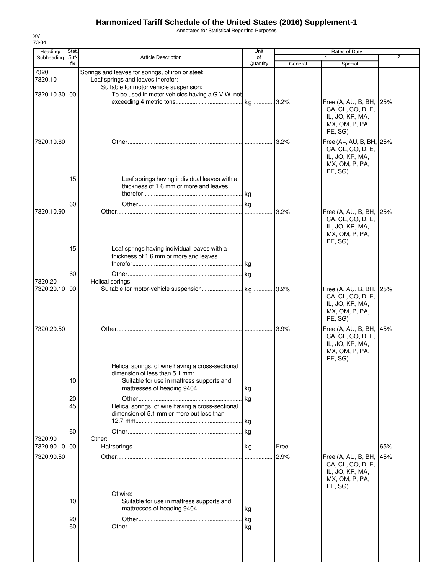Annotated for Statistical Reporting Purposes

| Heading/                 | Stat.       |                                                                                                                                  | Unit           |         | Rates of Duty                                                                                 |     |
|--------------------------|-------------|----------------------------------------------------------------------------------------------------------------------------------|----------------|---------|-----------------------------------------------------------------------------------------------|-----|
| Subheading               | Suf-<br>fix | Article Description                                                                                                              | of<br>Quantity | General | $\mathbf{1}$<br>Special                                                                       | 2   |
| 7320<br>7320.10          |             | Springs and leaves for springs, of iron or steel:<br>Leaf springs and leaves therefor:<br>Suitable for motor vehicle suspension: |                |         |                                                                                               |     |
| 7320.10.30 00            |             | To be used in motor vehicles having a G.V.W. not                                                                                 |                |         | Free (A, AU, B, BH, 25%<br>CA, CL, CO, D, E,<br>IL, JO, KR, MA,<br>MX, OM, P, PA,             |     |
| 7320.10.60               |             |                                                                                                                                  |                | 3.2%    | PE, SG)<br>Free (A+, AU, B, BH, 25%<br>CA, CL, CO, D, E,<br>IL, JO, KR, MA,<br>MX, OM, P, PA, |     |
|                          | 15          | Leaf springs having individual leaves with a<br>thickness of 1.6 mm or more and leaves                                           |                |         | PE, SG)                                                                                       |     |
| 7320.10.90               | 60          |                                                                                                                                  | .              | 3.2%    | Free (A, AU, B, BH, 25%<br>CA, CL, CO, D, E,<br>IL, JO, KR, MA,<br>MX, OM, P, PA,             |     |
|                          | 15          | Leaf springs having individual leaves with a<br>thickness of 1.6 mm or more and leaves                                           |                |         | PE, SG)                                                                                       |     |
| 7320.20                  | 60          | Helical springs:                                                                                                                 |                |         |                                                                                               |     |
| 7320.20.10 00            |             |                                                                                                                                  |                |         | Free (A, AU, B, BH, 25%<br>CA, CL, CO, D, E,<br>IL, JO, KR, MA,<br>MX, OM, P, PA,<br>PE, SG)  |     |
| 7320.20.50               |             |                                                                                                                                  |                | 3.9%    | Free (A, AU, B, BH,<br>CA, CL, CO, D, E,<br>IL, JO, KR, MA,<br>MX, OM, P, PA,<br>PE, SG)      | 45% |
|                          | 10          | Helical springs, of wire having a cross-sectional<br>dimension of less than 5.1 mm:<br>Suitable for use in mattress supports and |                |         |                                                                                               |     |
|                          | 20<br>45    | Helical springs, of wire having a cross-sectional<br>dimension of 5.1 mm or more but less than                                   | kg<br>. kg     |         |                                                                                               |     |
|                          | 60          |                                                                                                                                  |                |         |                                                                                               |     |
| 7320.90<br>7320.90.10 00 |             | Other:                                                                                                                           |                | Free    |                                                                                               | 65% |
| 7320.90.50               |             |                                                                                                                                  |                |         | Free (A, AU, B, BH,<br>CA, CL, CO, D, E,<br>IL, JO, KR, MA,<br>MX, OM, P, PA,                 | 45% |
|                          | 10          | Of wire:<br>Suitable for use in mattress supports and                                                                            |                |         | PE, SG)                                                                                       |     |
|                          | 20<br>60    |                                                                                                                                  |                |         |                                                                                               |     |
|                          |             |                                                                                                                                  |                |         |                                                                                               |     |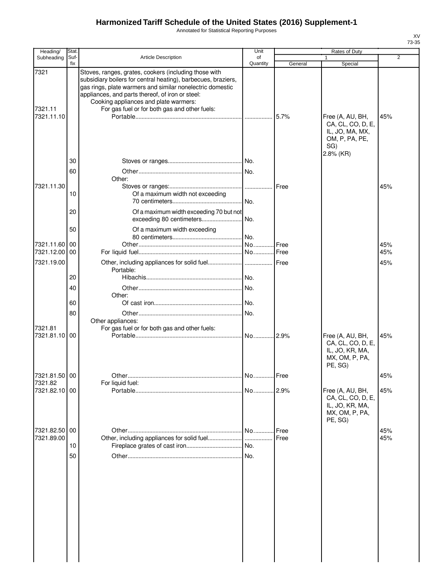Annotated for Statistical Reporting Purposes

| Heading/                    | Stat.       |                                                                                                                                                                                                                                                                                                                                   | Unit           |              | Rates of Duty                                                                                  |                |
|-----------------------------|-------------|-----------------------------------------------------------------------------------------------------------------------------------------------------------------------------------------------------------------------------------------------------------------------------------------------------------------------------------|----------------|--------------|------------------------------------------------------------------------------------------------|----------------|
| Subheading                  | Suf-<br>fix | <b>Article Description</b>                                                                                                                                                                                                                                                                                                        | of<br>Quantity | General      | 1<br>Special                                                                                   | $\overline{2}$ |
| 7321<br>7321.11             |             | Stoves, ranges, grates, cookers (including those with<br>subsidiary boilers for central heating), barbecues, braziers,<br>gas rings, plate warmers and similar nonelectric domestic<br>appliances, and parts thereof, of iron or steel:<br>Cooking appliances and plate warmers:<br>For gas fuel or for both gas and other fuels: |                |              |                                                                                                |                |
| 7321.11.10                  | 30          |                                                                                                                                                                                                                                                                                                                                   |                |              | Free (A, AU, BH,<br>CA, CL, CO, D, E,<br>IL, JO, MA, MX,<br>OM, P, PA, PE,<br>SG)<br>2.8% (KR) | 45%            |
|                             | 60          | Other:                                                                                                                                                                                                                                                                                                                            |                |              |                                                                                                |                |
| 7321.11.30                  | 10          | Of a maximum width not exceeding                                                                                                                                                                                                                                                                                                  | No.            |              |                                                                                                | 45%            |
|                             | 20          | Of a maximum width exceeding 70 but not<br>exceeding 80 centimeters                                                                                                                                                                                                                                                               | No.            |              |                                                                                                |                |
| 7321.11.60 00               | 50          | Of a maximum width exceeding                                                                                                                                                                                                                                                                                                      | .lNo.          | Free         |                                                                                                | 45%            |
| 7321.12.00 00               |             |                                                                                                                                                                                                                                                                                                                                   |                |              |                                                                                                | 45%            |
| 7321.19.00                  | 20          | Portable:                                                                                                                                                                                                                                                                                                                         | .l No.         |              |                                                                                                | 45%            |
|                             | 40          | Other:                                                                                                                                                                                                                                                                                                                            | No.            |              |                                                                                                |                |
|                             | 60          |                                                                                                                                                                                                                                                                                                                                   | No.            |              |                                                                                                |                |
|                             | 80          | Other appliances:                                                                                                                                                                                                                                                                                                                 | No.            |              |                                                                                                |                |
| 7321.81<br>7321.81.10 00    |             | For gas fuel or for both gas and other fuels:                                                                                                                                                                                                                                                                                     | No 2.9%        |              | Free (A, AU, BH,<br>CA, CL, CO, D, E,<br>IL, JO, KR, MA,<br>MX, OM, P, PA,<br>PE, SG)          | 45%            |
| 7321.81.50 00<br>7321.82    |             | For liquid fuel:                                                                                                                                                                                                                                                                                                                  | No Free        |              |                                                                                                | 45%            |
| 7321.82.10 00               |             |                                                                                                                                                                                                                                                                                                                                   | No 2.9%        |              | Free (A, AU, BH,<br>CA, CL, CO, D, E,<br>IL, JO, KR, MA,<br>MX, OM, P, PA,<br>PE, SG)          | 45%            |
| 7321.82.50 00<br>7321.89.00 |             | Other, including appliances for solid fuel                                                                                                                                                                                                                                                                                        | No<br>$\cdots$ | Free<br>Free |                                                                                                | 45%<br>45%     |
|                             | 10          |                                                                                                                                                                                                                                                                                                                                   | No.            |              |                                                                                                |                |
|                             | 50          |                                                                                                                                                                                                                                                                                                                                   |                |              |                                                                                                |                |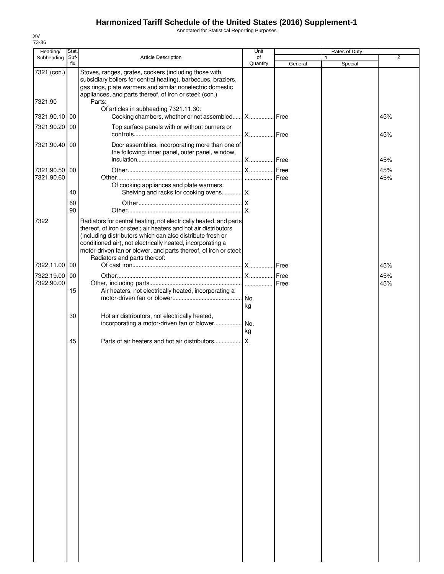Annotated for Statistical Reporting Purposes

| Heading/      | Stat. |                                                                                                                                                                                                                                                                                                                                                                      | Unit      |         | Rates of Duty |     |
|---------------|-------|----------------------------------------------------------------------------------------------------------------------------------------------------------------------------------------------------------------------------------------------------------------------------------------------------------------------------------------------------------------------|-----------|---------|---------------|-----|
| Subheading    | Suf-  | <b>Article Description</b>                                                                                                                                                                                                                                                                                                                                           | of        |         | 1             | 2   |
|               | fix   |                                                                                                                                                                                                                                                                                                                                                                      | Quantity  | General | Special       |     |
| 7321 (con.)   |       | Stoves, ranges, grates, cookers (including those with<br>subsidiary boilers for central heating), barbecues, braziers,<br>gas rings, plate warmers and similar nonelectric domestic<br>appliances, and parts thereof, of iron or steel: (con.)                                                                                                                       |           |         |               |     |
| 7321.90       |       | Parts:<br>Of articles in subheading 7321.11.30:                                                                                                                                                                                                                                                                                                                      |           |         |               |     |
| 7321.90.10 00 |       | Cooking chambers, whether or not assembled   X   Free                                                                                                                                                                                                                                                                                                                |           |         |               | 45% |
| 7321.90.20 00 |       | Top surface panels with or without burners or                                                                                                                                                                                                                                                                                                                        |           |         |               | 45% |
| 7321.90.40 00 |       | Door assemblies, incorporating more than one of<br>the following: inner panel, outer panel, window,                                                                                                                                                                                                                                                                  |           |         |               | 45% |
| 7321.90.50    | 00    |                                                                                                                                                                                                                                                                                                                                                                      |           |         |               | 45% |
| 7321.90.60    |       |                                                                                                                                                                                                                                                                                                                                                                      |           |         |               | 45% |
|               |       | Of cooking appliances and plate warmers:                                                                                                                                                                                                                                                                                                                             |           |         |               |     |
|               | 40    | Shelving and racks for cooking ovens X                                                                                                                                                                                                                                                                                                                               |           |         |               |     |
|               | 60    |                                                                                                                                                                                                                                                                                                                                                                      |           |         |               |     |
|               | 90    |                                                                                                                                                                                                                                                                                                                                                                      |           |         |               |     |
| 7322          |       | Radiators for central heating, not electrically heated, and parts<br>thereof, of iron or steel; air heaters and hot air distributors<br>(including distributors which can also distribute fresh or<br>conditioned air), not electrically heated, incorporating a<br>motor-driven fan or blower, and parts thereof, of iron or steel:<br>Radiators and parts thereof: |           |         |               |     |
| 7322.11.00    | 00    |                                                                                                                                                                                                                                                                                                                                                                      |           |         |               | 45% |
| 7322.19.00    | 00    |                                                                                                                                                                                                                                                                                                                                                                      |           |         |               | 45% |
| 7322.90.00    |       |                                                                                                                                                                                                                                                                                                                                                                      |           |         |               | 45% |
|               | 15    | Air heaters, not electrically heated, incorporating a                                                                                                                                                                                                                                                                                                                |           |         |               |     |
|               |       |                                                                                                                                                                                                                                                                                                                                                                      | No.<br>kg |         |               |     |
|               | 30    | Hot air distributors, not electrically heated,                                                                                                                                                                                                                                                                                                                       |           |         |               |     |
|               |       | incorporating a motor-driven fan or blower                                                                                                                                                                                                                                                                                                                           | .lNo.     |         |               |     |
|               |       |                                                                                                                                                                                                                                                                                                                                                                      | kg        |         |               |     |
|               | 45    |                                                                                                                                                                                                                                                                                                                                                                      |           |         |               |     |
|               |       |                                                                                                                                                                                                                                                                                                                                                                      |           |         |               |     |
|               |       |                                                                                                                                                                                                                                                                                                                                                                      |           |         |               |     |
|               |       |                                                                                                                                                                                                                                                                                                                                                                      |           |         |               |     |
|               |       |                                                                                                                                                                                                                                                                                                                                                                      |           |         |               |     |
|               |       |                                                                                                                                                                                                                                                                                                                                                                      |           |         |               |     |
|               |       |                                                                                                                                                                                                                                                                                                                                                                      |           |         |               |     |
|               |       |                                                                                                                                                                                                                                                                                                                                                                      |           |         |               |     |
|               |       |                                                                                                                                                                                                                                                                                                                                                                      |           |         |               |     |
|               |       |                                                                                                                                                                                                                                                                                                                                                                      |           |         |               |     |
|               |       |                                                                                                                                                                                                                                                                                                                                                                      |           |         |               |     |
|               |       |                                                                                                                                                                                                                                                                                                                                                                      |           |         |               |     |
|               |       |                                                                                                                                                                                                                                                                                                                                                                      |           |         |               |     |
|               |       |                                                                                                                                                                                                                                                                                                                                                                      |           |         |               |     |
|               |       |                                                                                                                                                                                                                                                                                                                                                                      |           |         |               |     |
|               |       |                                                                                                                                                                                                                                                                                                                                                                      |           |         |               |     |
|               |       |                                                                                                                                                                                                                                                                                                                                                                      |           |         |               |     |
|               |       |                                                                                                                                                                                                                                                                                                                                                                      |           |         |               |     |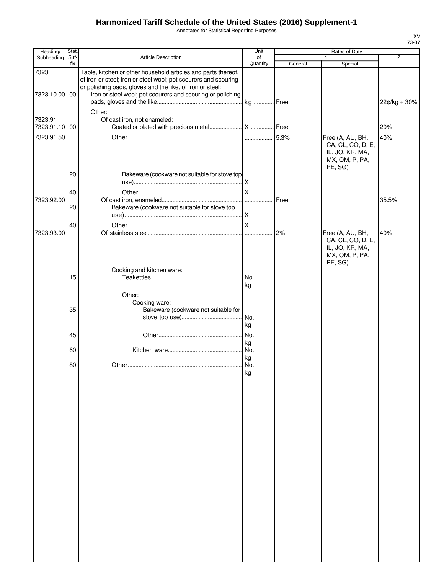Annotated for Statistical Reporting Purposes

| Heading/                 | Stat.       |                                                                                                                                                                                               | Unit           | Rates of Duty |                                                                   |                |
|--------------------------|-------------|-----------------------------------------------------------------------------------------------------------------------------------------------------------------------------------------------|----------------|---------------|-------------------------------------------------------------------|----------------|
| Subheading               | Suf-<br>fix | Article Description                                                                                                                                                                           | of<br>Quantity | General       | 1<br>Special                                                      | $\overline{2}$ |
| 7323                     |             | Table, kitchen or other household articles and parts thereof,<br>of iron or steel; iron or steel wool; pot scourers and scouring<br>or polishing pads, gloves and the like, of iron or steel: |                |               |                                                                   |                |
| 7323.10.00 00            |             | Iron or steel wool; pot scourers and scouring or polishing                                                                                                                                    |                |               |                                                                   | 22¢/kg + 30%   |
| 7323.91<br>7323.91.10 00 |             | Other:<br>Of cast iron, not enameled:                                                                                                                                                         |                |               |                                                                   | 20%            |
| 7323.91.50               |             |                                                                                                                                                                                               |                |               | Free (A, AU, BH,                                                  | 40%            |
|                          |             |                                                                                                                                                                                               |                |               | CA, CL, CO, D, E,<br>IL, JO, KR, MA,<br>MX, OM, P, PA,<br>PE, SG) |                |
|                          | 20          | Bakeware (cookware not suitable for stove top                                                                                                                                                 |                |               |                                                                   |                |
|                          | 40          |                                                                                                                                                                                               |                |               |                                                                   |                |
| 7323.92.00               |             |                                                                                                                                                                                               |                | Free          |                                                                   | 35.5%          |
|                          | 20          | Bakeware (cookware not suitable for stove top                                                                                                                                                 |                |               |                                                                   |                |
|                          | 40          |                                                                                                                                                                                               |                |               |                                                                   |                |
| 7323.93.00               |             |                                                                                                                                                                                               |                | 2%            | Free (A, AU, BH,                                                  | 40%            |
|                          |             |                                                                                                                                                                                               |                |               | CA, CL, CO, D, E,<br>IL, JO, KR, MA,<br>MX, OM, P, PA,<br>PE, SG) |                |
|                          | 15          | Cooking and kitchen ware:                                                                                                                                                                     |                |               |                                                                   |                |
|                          |             |                                                                                                                                                                                               | .l No.<br>kg   |               |                                                                   |                |
|                          |             | Other:                                                                                                                                                                                        |                |               |                                                                   |                |
|                          |             | Cooking ware:                                                                                                                                                                                 |                |               |                                                                   |                |
|                          | 35          | Bakeware (cookware not suitable for                                                                                                                                                           | No.            |               |                                                                   |                |
|                          |             |                                                                                                                                                                                               | kg             |               |                                                                   |                |
|                          | 45          |                                                                                                                                                                                               | No.            |               |                                                                   |                |
|                          |             |                                                                                                                                                                                               | kg             |               |                                                                   |                |
|                          | 60          |                                                                                                                                                                                               | No.<br>kg      |               |                                                                   |                |
|                          | 80          |                                                                                                                                                                                               | No.            |               |                                                                   |                |
|                          |             |                                                                                                                                                                                               | ĸg             |               |                                                                   |                |
|                          |             |                                                                                                                                                                                               |                |               |                                                                   |                |
|                          |             |                                                                                                                                                                                               |                |               |                                                                   |                |
|                          |             |                                                                                                                                                                                               |                |               |                                                                   |                |
|                          |             |                                                                                                                                                                                               |                |               |                                                                   |                |
|                          |             |                                                                                                                                                                                               |                |               |                                                                   |                |
|                          |             |                                                                                                                                                                                               |                |               |                                                                   |                |
|                          |             |                                                                                                                                                                                               |                |               |                                                                   |                |
|                          |             |                                                                                                                                                                                               |                |               |                                                                   |                |
|                          |             |                                                                                                                                                                                               |                |               |                                                                   |                |
|                          |             |                                                                                                                                                                                               |                |               |                                                                   |                |
|                          |             |                                                                                                                                                                                               |                |               |                                                                   |                |
|                          |             |                                                                                                                                                                                               |                |               |                                                                   |                |
|                          |             |                                                                                                                                                                                               |                |               |                                                                   |                |
|                          |             |                                                                                                                                                                                               |                |               |                                                                   |                |
|                          |             |                                                                                                                                                                                               |                |               |                                                                   |                |
|                          |             |                                                                                                                                                                                               |                |               |                                                                   |                |
|                          |             |                                                                                                                                                                                               |                |               |                                                                   |                |

 $\mathbf l$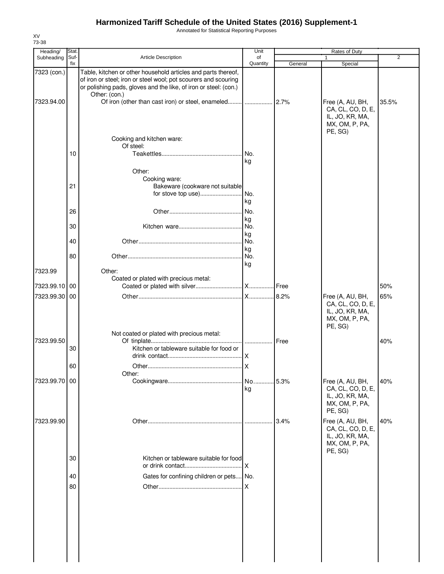Annotated for Statistical Reporting Purposes

| Heading/      | Stat. |                                                                                                                                                                                                                       | Unit        |         | Rates of Duty                                                                         |                |
|---------------|-------|-----------------------------------------------------------------------------------------------------------------------------------------------------------------------------------------------------------------------|-------------|---------|---------------------------------------------------------------------------------------|----------------|
| Subheading    | Suf-  | <b>Article Description</b>                                                                                                                                                                                            | of          |         |                                                                                       | $\overline{2}$ |
|               | fix   |                                                                                                                                                                                                                       | Quantity    | General | Special                                                                               |                |
| 7323 (con.)   |       | Table, kitchen or other household articles and parts thereof,<br>of iron or steel; iron or steel wool; pot scourers and scouring<br>or polishing pads, gloves and the like, of iron or steel: (con.)<br>Other: (con.) |             |         |                                                                                       |                |
| 7323.94.00    |       |                                                                                                                                                                                                                       |             |         | Free (A, AU, BH,<br>CA, CL, CO, D, E,<br>IL, JO, KR, MA,<br>MX, OM, P, PA,<br>PE, SG) | 35.5%          |
|               |       | Cooking and kitchen ware:                                                                                                                                                                                             |             |         |                                                                                       |                |
|               |       | Of steel:                                                                                                                                                                                                             |             |         |                                                                                       |                |
|               | 10    |                                                                                                                                                                                                                       | No.         |         |                                                                                       |                |
|               |       |                                                                                                                                                                                                                       | kg          |         |                                                                                       |                |
|               |       | Other:                                                                                                                                                                                                                |             |         |                                                                                       |                |
|               | 21    | Cooking ware:<br>Bakeware (cookware not suitable                                                                                                                                                                      |             |         |                                                                                       |                |
|               |       | for stove top use)                                                                                                                                                                                                    | No.         |         |                                                                                       |                |
|               |       |                                                                                                                                                                                                                       | kg          |         |                                                                                       |                |
|               | 26    |                                                                                                                                                                                                                       | No.         |         |                                                                                       |                |
|               |       |                                                                                                                                                                                                                       | kg          |         |                                                                                       |                |
|               | 30    |                                                                                                                                                                                                                       | No.         |         |                                                                                       |                |
|               |       |                                                                                                                                                                                                                       | kg          |         |                                                                                       |                |
|               | 40    |                                                                                                                                                                                                                       | No.         |         |                                                                                       |                |
|               | 80    |                                                                                                                                                                                                                       | kg          |         |                                                                                       |                |
|               |       |                                                                                                                                                                                                                       | I No.<br>kg |         |                                                                                       |                |
| 7323.99       |       | Other:                                                                                                                                                                                                                |             |         |                                                                                       |                |
|               |       | Coated or plated with precious metal:                                                                                                                                                                                 |             |         |                                                                                       |                |
| 7323.99.10 00 |       |                                                                                                                                                                                                                       |             |         |                                                                                       | 50%            |
| 7323.99.30 00 |       |                                                                                                                                                                                                                       |             |         | Free (A, AU, BH,                                                                      | 65%            |
|               |       |                                                                                                                                                                                                                       |             |         | CA, CL, CO, D, E,<br>IL, JO, KR, MA,<br>MX, OM, P, PA,<br>PE, SG)                     |                |
| 7323.99.50    |       | Not coated or plated with precious metal:                                                                                                                                                                             |             |         |                                                                                       | 40%            |
|               | 30    | Kitchen or tableware suitable for food or                                                                                                                                                                             |             |         |                                                                                       |                |
|               | 60    |                                                                                                                                                                                                                       |             |         |                                                                                       |                |
|               |       | Other:                                                                                                                                                                                                                |             |         |                                                                                       |                |
| 7323.99.70 00 |       |                                                                                                                                                                                                                       | No<br>kg    | 5.3%    | Free (A, AU, BH,<br>CA, CL, CO, D, E,<br>IL, JO, KR, MA,<br>MX, OM, P, PA,<br>PE, SG) | 40%            |
| 7323.99.90    |       |                                                                                                                                                                                                                       |             | 3.4%    | Free (A, AU, BH,                                                                      | 40%            |
|               |       |                                                                                                                                                                                                                       |             |         | CA, CL, CO, D, E,<br>IL, JO, KR, MA,<br>MX, OM, P, PA,<br>PE, SG)                     |                |
|               | 30    | Kitchen or tableware suitable for food                                                                                                                                                                                | X           |         |                                                                                       |                |
|               | 40    | Gates for confining children or pets No.                                                                                                                                                                              |             |         |                                                                                       |                |
|               |       |                                                                                                                                                                                                                       |             |         |                                                                                       |                |
|               | 80    |                                                                                                                                                                                                                       | .Ix         |         |                                                                                       |                |
|               |       |                                                                                                                                                                                                                       |             |         |                                                                                       |                |
|               |       |                                                                                                                                                                                                                       |             |         |                                                                                       |                |
|               |       |                                                                                                                                                                                                                       |             |         |                                                                                       |                |
|               |       |                                                                                                                                                                                                                       |             |         |                                                                                       |                |
|               |       |                                                                                                                                                                                                                       |             |         |                                                                                       |                |
|               |       |                                                                                                                                                                                                                       |             |         |                                                                                       |                |
|               |       |                                                                                                                                                                                                                       |             |         |                                                                                       |                |
|               |       |                                                                                                                                                                                                                       |             |         |                                                                                       |                |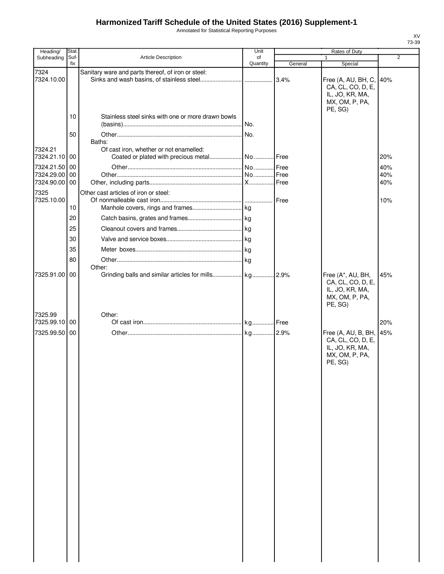Annotated for Statistical Reporting Purposes

| Heading/                 | Stat. |                                                    | Unit     |               |                                                                                              |                |
|--------------------------|-------|----------------------------------------------------|----------|---------------|----------------------------------------------------------------------------------------------|----------------|
| Subheading               | Suf-  | <b>Article Description</b>                         | of       |               | $\mathbf{1}$                                                                                 | $\overline{2}$ |
|                          | fix   |                                                    | Quantity | General       | Special                                                                                      |                |
| 7324<br>7324.10.00       |       | Sanitary ware and parts thereof, of iron or steel: |          | 3.4%          | Free (A, AU, BH, C, 40%<br>CA, CL, CO, D, E,<br>IL, JO, KR, MA,<br>MX, OM, P, PA,<br>PE, SG) |                |
|                          | 10    | Stainless steel sinks with one or more drawn bowls |          |               |                                                                                              |                |
|                          |       |                                                    |          |               |                                                                                              |                |
|                          | 50    |                                                    | No.      |               |                                                                                              |                |
| 7324.21<br>7324.21.10 00 |       | Baths:<br>Of cast iron, whether or not enamelled:  |          |               |                                                                                              | 20%            |
| 7324.21.50 00            |       |                                                    |          | Free          |                                                                                              | 40%            |
| 7324.29.00               | 00    |                                                    |          | Free          |                                                                                              | 40%            |
| 7324.90.00 00            |       |                                                    |          |               |                                                                                              | 40%            |
| 7325<br>7325.10.00       | 10    | Other cast articles of iron or steel:              |          | <b>I</b> Free |                                                                                              | 10%            |
|                          | 20    |                                                    |          |               |                                                                                              |                |
|                          |       |                                                    |          |               |                                                                                              |                |
|                          | 25    |                                                    |          |               |                                                                                              |                |
|                          | 30    |                                                    |          |               |                                                                                              |                |
|                          | 35    |                                                    |          |               |                                                                                              |                |
|                          | 80    |                                                    |          |               |                                                                                              |                |
|                          |       | Other:                                             |          |               |                                                                                              |                |
| 7325.91.00 00            |       |                                                    |          |               | Free (A*, AU, BH,<br>CA, CL, CO, D, E,<br>IL, JO, KR, MA,<br>MX, OM, P, PA,<br>PE, SG)       | 45%            |
| 7325.99                  |       | Other:                                             |          |               |                                                                                              |                |
| 7325.99.10 00            |       |                                                    |          |               |                                                                                              | 20%            |
| 7325.99.50 00            |       |                                                    |          |               | Free (A, AU, B, BH, 45%<br>CA, CL, CO, D, E,<br>IL, JO, KR, MA,<br>MX, OM, P, PA,<br>PE, SG) |                |
|                          |       |                                                    |          |               |                                                                                              |                |
|                          |       |                                                    |          |               |                                                                                              |                |
|                          |       |                                                    |          |               |                                                                                              |                |
|                          |       |                                                    |          |               |                                                                                              |                |
|                          |       |                                                    |          |               |                                                                                              |                |
|                          |       |                                                    |          |               |                                                                                              |                |
|                          |       |                                                    |          |               |                                                                                              |                |
|                          |       |                                                    |          |               |                                                                                              |                |
|                          |       |                                                    |          |               |                                                                                              |                |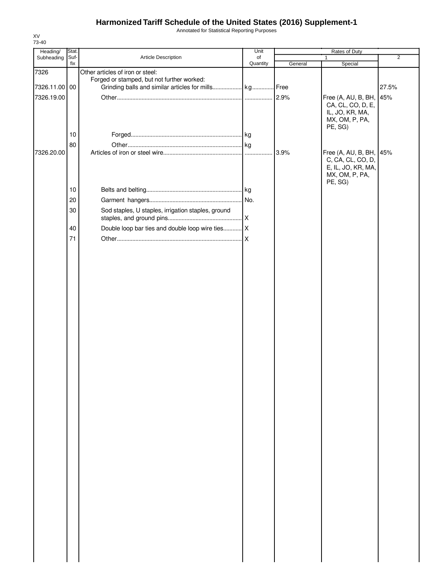Annotated for Statistical Reporting Purposes

| Heading/      | Stat. |                                                    | Unit     | Rates of Duty |                           |                |
|---------------|-------|----------------------------------------------------|----------|---------------|---------------------------|----------------|
| Subheading    | Suf-  | Article Description                                | of       |               | 1                         | $\overline{2}$ |
| 7326          | fix   | Other articles of iron or steel:                   | Quantity | General       | Special                   |                |
|               |       | Forged or stamped, but not further worked:         |          |               |                           |                |
| 7326.11.00 00 |       |                                                    |          |               |                           | 27.5%          |
| 7326.19.00    |       |                                                    |          |               | Free (A, AU, B, BH,       | 45%            |
|               |       |                                                    |          |               | CA, CL, CO, D, E,         |                |
|               |       |                                                    |          |               | IL, JO, KR, MA,           |                |
|               |       |                                                    |          |               | MX, OM, P, PA,<br>PE, SG) |                |
|               | 10    |                                                    |          |               |                           |                |
|               | 80    |                                                    |          |               |                           |                |
| 7326.20.00    |       |                                                    |          | 3.9%          | Free (A, AU, B, BH,       | 45%            |
|               |       |                                                    |          |               | C, CA, CL, CO, D,         |                |
|               |       |                                                    |          |               | E, IL, JO, KR, MA,        |                |
|               |       |                                                    |          |               | MX, OM, P, PA,<br>PE, SG) |                |
|               | 10    |                                                    |          |               |                           |                |
|               | 20    |                                                    |          |               |                           |                |
|               |       |                                                    |          |               |                           |                |
|               | 30    | Sod staples, U staples, irrigation staples, ground |          |               |                           |                |
|               | 40    |                                                    |          |               |                           |                |
|               |       |                                                    |          |               |                           |                |
|               | 71    |                                                    |          |               |                           |                |
|               |       |                                                    |          |               |                           |                |
|               |       |                                                    |          |               |                           |                |
|               |       |                                                    |          |               |                           |                |
|               |       |                                                    |          |               |                           |                |
|               |       |                                                    |          |               |                           |                |
|               |       |                                                    |          |               |                           |                |
|               |       |                                                    |          |               |                           |                |
|               |       |                                                    |          |               |                           |                |
|               |       |                                                    |          |               |                           |                |
|               |       |                                                    |          |               |                           |                |
|               |       |                                                    |          |               |                           |                |
|               |       |                                                    |          |               |                           |                |
|               |       |                                                    |          |               |                           |                |
|               |       |                                                    |          |               |                           |                |
|               |       |                                                    |          |               |                           |                |
|               |       |                                                    |          |               |                           |                |
|               |       |                                                    |          |               |                           |                |
|               |       |                                                    |          |               |                           |                |
|               |       |                                                    |          |               |                           |                |
|               |       |                                                    |          |               |                           |                |
|               |       |                                                    |          |               |                           |                |
|               |       |                                                    |          |               |                           |                |
|               |       |                                                    |          |               |                           |                |
|               |       |                                                    |          |               |                           |                |
|               |       |                                                    |          |               |                           |                |
|               |       |                                                    |          |               |                           |                |
|               |       |                                                    |          |               |                           |                |
|               |       |                                                    |          |               |                           |                |
|               |       |                                                    |          |               |                           |                |
|               |       |                                                    |          |               |                           |                |
|               |       |                                                    |          |               |                           |                |
|               |       |                                                    |          |               |                           |                |
|               |       |                                                    |          |               |                           |                |
|               |       |                                                    |          |               |                           |                |
|               |       |                                                    |          |               |                           |                |